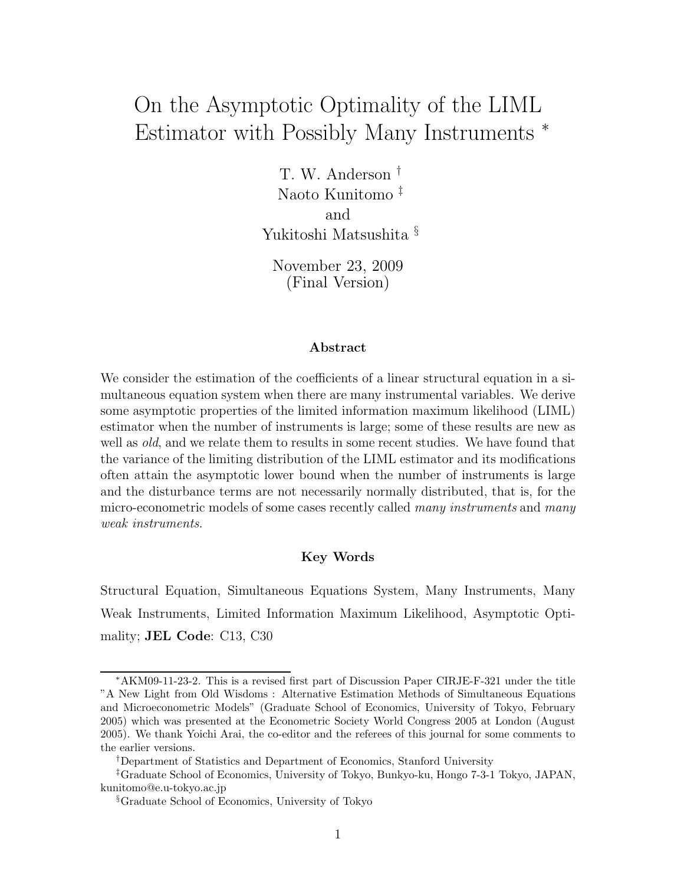# On the Asymptotic Optimality of the LIML Estimator with Possibly Many Instruments <sup>∗</sup>

T. W. Anderson † Naoto Kunitomo ‡ and Yukitoshi Matsushita §

November 23, 2009 (Final Version)

#### **Abstract**

We consider the estimation of the coefficients of a linear structural equation in a simultaneous equation system when there are many instrumental variables. We derive some asymptotic properties of the limited information maximum likelihood (LIML) estimator when the number of instruments is large; some of these results are new as well as *old*, and we relate them to results in some recent studies. We have found that the variance of the limiting distribution of the LIML estimator and its modifications often attain the asymptotic lower bound when the number of instruments is large and the disturbance terms are not necessarily normally distributed, that is, for the micro-econometric models of some cases recently called *many instruments* and *many weak instruments*.

#### **Key Words**

Structural Equation, Simultaneous Equations System, Many Instruments, Many Weak Instruments, Limited Information Maximum Likelihood, Asymptotic Optimality; **JEL Code**: C13, C30

<sup>∗</sup>AKM09-11-23-2. This is a revised first part of Discussion Paper CIRJE-F-321 under the title "A New Light from Old Wisdoms : Alternative Estimation Methods of Simultaneous Equations and Microeconometric Models" (Graduate School of Economics, University of Tokyo, February 2005) which was presented at the Econometric Society World Congress 2005 at London (August 2005). We thank Yoichi Arai, the co-editor and the referees of this journal for some comments to the earlier versions.

<sup>†</sup>Department of Statistics and Department of Economics, Stanford University

<sup>‡</sup>Graduate School of Economics, University of Tokyo, Bunkyo-ku, Hongo 7-3-1 Tokyo, JAPAN, kunitomo@e.u-tokyo.ac.jp

<sup>§</sup>Graduate School of Economics, University of Tokyo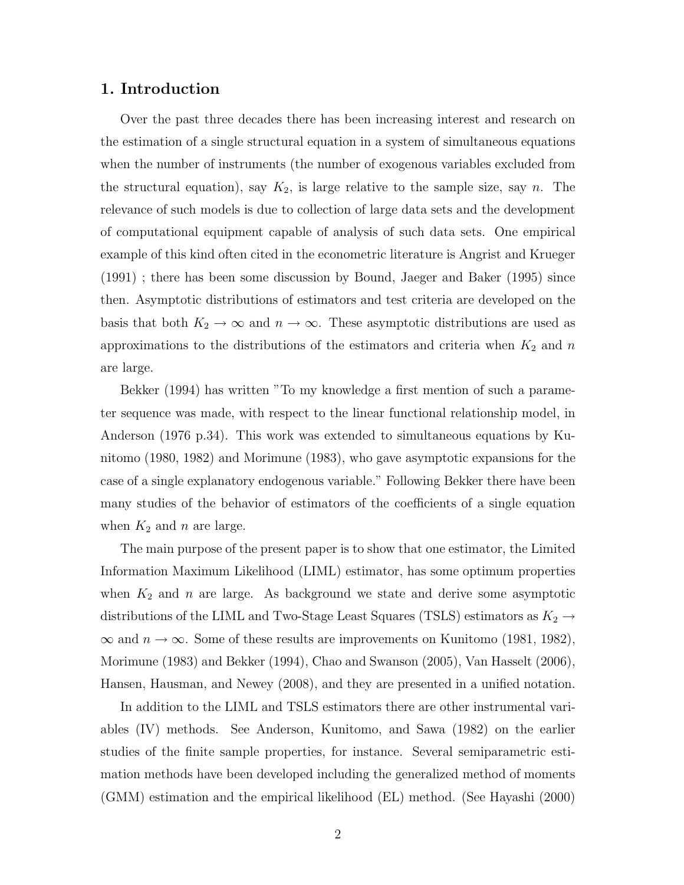#### **1. Introduction**

Over the past three decades there has been increasing interest and research on the estimation of a single structural equation in a system of simultaneous equations when the number of instruments (the number of exogenous variables excluded from the structural equation), say  $K_2$ , is large relative to the sample size, say n. The relevance of such models is due to collection of large data sets and the development of computational equipment capable of analysis of such data sets. One empirical example of this kind often cited in the econometric literature is Angrist and Krueger (1991) ; there has been some discussion by Bound, Jaeger and Baker (1995) since then. Asymptotic distributions of estimators and test criteria are developed on the basis that both  $K_2 \to \infty$  and  $n \to \infty$ . These asymptotic distributions are used as approximations to the distributions of the estimators and criteria when  $K_2$  and n are large.

Bekker (1994) has written "To my knowledge a first mention of such a parameter sequence was made, with respect to the linear functional relationship model, in Anderson (1976 p.34). This work was extended to simultaneous equations by Kunitomo (1980, 1982) and Morimune (1983), who gave asymptotic expansions for the case of a single explanatory endogenous variable." Following Bekker there have been many studies of the behavior of estimators of the coefficients of a single equation when  $K_2$  and n are large.

The main purpose of the present paper is to show that one estimator, the Limited Information Maximum Likelihood (LIML) estimator, has some optimum properties when  $K_2$  and n are large. As background we state and derive some asymptotic distributions of the LIML and Two-Stage Least Squares (TSLS) estimators as  $K_2 \rightarrow$  $\infty$  and  $n \to \infty$ . Some of these results are improvements on Kunitomo (1981, 1982), Morimune (1983) and Bekker (1994), Chao and Swanson (2005), Van Hasselt (2006), Hansen, Hausman, and Newey (2008), and they are presented in a unified notation.

In addition to the LIML and TSLS estimators there are other instrumental variables (IV) methods. See Anderson, Kunitomo, and Sawa (1982) on the earlier studies of the finite sample properties, for instance. Several semiparametric estimation methods have been developed including the generalized method of moments (GMM) estimation and the empirical likelihood (EL) method. (See Hayashi (2000)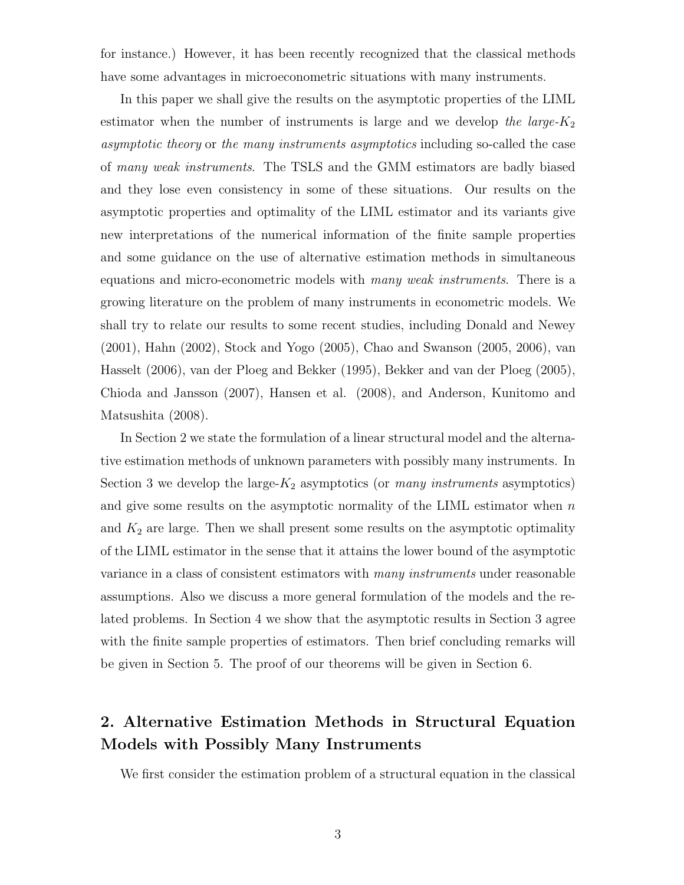for instance.) However, it has been recently recognized that the classical methods have some advantages in microeconometric situations with many instruments.

In this paper we shall give the results on the asymptotic properties of the LIML estimator when the number of instruments is large and we develop *the large-*K<sup>2</sup> *asymptotic theory* or *the many instruments asymptotics* including so-called the case of *many weak instruments*. The TSLS and the GMM estimators are badly biased and they lose even consistency in some of these situations. Our results on the asymptotic properties and optimality of the LIML estimator and its variants give new interpretations of the numerical information of the finite sample properties and some guidance on the use of alternative estimation methods in simultaneous equations and micro-econometric models with *many weak instruments*. There is a growing literature on the problem of many instruments in econometric models. We shall try to relate our results to some recent studies, including Donald and Newey (2001), Hahn (2002), Stock and Yogo (2005), Chao and Swanson (2005, 2006), van Hasselt (2006), van der Ploeg and Bekker (1995), Bekker and van der Ploeg (2005), Chioda and Jansson (2007), Hansen et al. (2008), and Anderson, Kunitomo and Matsushita (2008).

In Section 2 we state the formulation of a linear structural model and the alternative estimation methods of unknown parameters with possibly many instruments. In Section 3 we develop the large- $K_2$  asymptotics (or *many instruments* asymptotics) and give some results on the asymptotic normality of the LIML estimator when  $n$ and  $K_2$  are large. Then we shall present some results on the asymptotic optimality of the LIML estimator in the sense that it attains the lower bound of the asymptotic variance in a class of consistent estimators with *many instruments* under reasonable assumptions. Also we discuss a more general formulation of the models and the related problems. In Section 4 we show that the asymptotic results in Section 3 agree with the finite sample properties of estimators. Then brief concluding remarks will be given in Section 5. The proof of our theorems will be given in Section 6.

## **2. Alternative Estimation Methods in Structural Equation Models with Possibly Many Instruments**

We first consider the estimation problem of a structural equation in the classical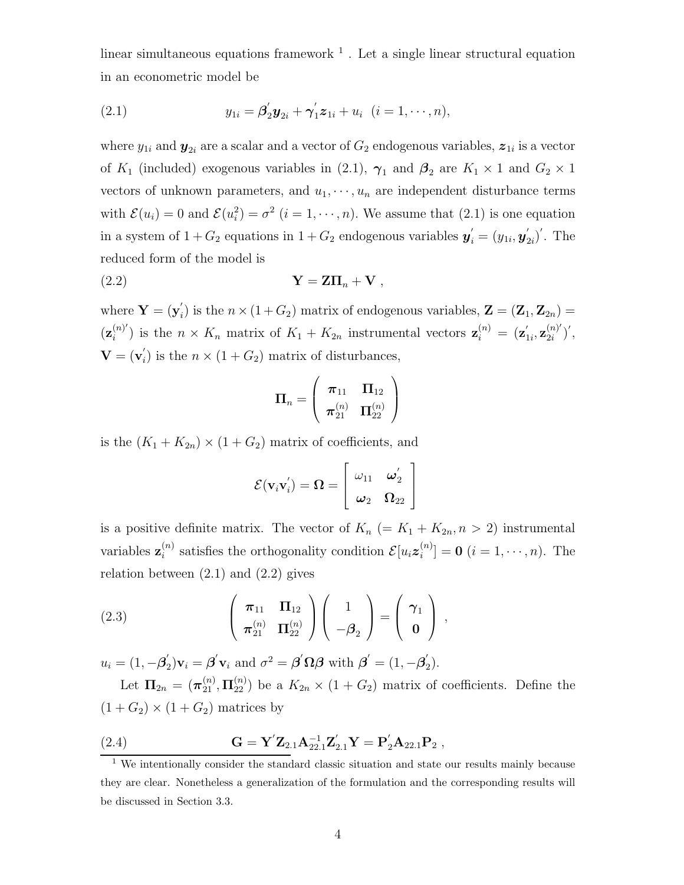linear simultaneous equations framework  $<sup>1</sup>$ . Let a single linear structural equation</sup> in an econometric model be

(2.1) 
$$
y_{1i} = \beta'_2 y_{2i} + \gamma'_1 z_{1i} + u_i \ \ (i = 1, \cdots, n),
$$

where  $y_{1i}$  and  $y_{2i}$  are a scalar and a vector of  $G_2$  endogenous variables,  $z_{1i}$  is a vector of  $K_1$  (included) exogenous variables in (2.1),  $\gamma_1$  and  $\beta_2$  are  $K_1 \times 1$  and  $G_2 \times 1$ vectors of unknown parameters, and  $u_1, \dots, u_n$  are independent disturbance terms with  $\mathcal{E}(u_i) = 0$  and  $\mathcal{E}(u_i^2) = \sigma^2$   $(i = 1, \dots, n)$ . We assume that  $(2.1)$  is one equation in a system of  $1 + G_2$  equations in  $1 + G_2$  endogenous variables  $\mathbf{y}'_i = (y_{1i}, \mathbf{y}'_{2i})'$ . The reduced form of the model is

$$
\mathbf{Y} = \mathbf{Z}\mathbf{\Pi}_n + \mathbf{V} \;,
$$

where  $\mathbf{Y} = (\mathbf{y}_i)$  is the  $n \times (1 + G_2)$  matrix of endogenous variables,  $\mathbf{Z} = (\mathbf{Z}_1, \mathbf{Z}_{2n}) =$  $(\mathbf{z}_i^{(n)})$  is the  $n \times K_n$  matrix of  $K_1 + K_{2n}$  instrumental vectors  $\mathbf{z}_i^{(n)} = (\mathbf{z}_{1i}', \mathbf{z}_{2i}^{(n)'})'$ ,  $\mathbf{V} = (\mathbf{v}_i)$  is the  $n \times (1 + G_2)$  matrix of disturbances,

$$
\bm{\Pi}_n = \left( \begin{array}{cc} \bm{\pi}_{11} & \bm{\Pi}_{12} \\ \bm{\pi}_{21}^{(n)} & \bm{\Pi}_{22}^{(n)} \end{array} \right)
$$

is the  $(K_1 + K_{2n}) \times (1 + G_2)$  matrix of coefficients, and

$$
\mathcal{E}(\mathbf{v}_i\mathbf{v}_i') = \mathbf{\Omega} = \left[ \begin{array}{cc} \omega_{11} & \omega_2' \\ \boldsymbol{\omega}_2 & \boldsymbol{\Omega}_{22} \end{array} \right]
$$

is a positive definite matrix. The vector of  $K_n$  (=  $K_1 + K_{2n}, n > 2$ ) instrumental variables  $\mathbf{z}_i^{(n)}$  satisfies the orthogonality condition  $\mathcal{E}[u_i \mathbf{z}_i^{(n)}] = \mathbf{0}$   $(i = 1, \dots, n)$ . The relation between  $(2.1)$  and  $(2.2)$  gives

(2.3) 
$$
\left(\begin{array}{cc} \pi_{11} & \Pi_{12} \\ \pi_{21}^{(n)} & \Pi_{22}^{(n)} \end{array}\right) \left(\begin{array}{c} 1 \\ -\beta_2 \end{array}\right) = \left(\begin{array}{c} \gamma_1 \\ 0 \end{array}\right),
$$

 $u_i = (1, -\boldsymbol{\beta}_2')\mathbf{v}_i = \boldsymbol{\beta}'\mathbf{v}_i$  and  $\sigma^2 = \boldsymbol{\beta}'\boldsymbol{\Omega}\boldsymbol{\beta}$  with  $\boldsymbol{\beta}' = (1, -\boldsymbol{\beta}_2').$ 

Let  $\Pi_{2n} = (\pi_{21}^{(n)}, \Pi_{22}^{(n)})$  be a  $K_{2n} \times (1 + G_2)$  matrix of coefficients. Define the  $(1+G_2)\times(1+G_2)$  matrices by

(2.4) 
$$
\mathbf{G} = \mathbf{Y}' \mathbf{Z}_{2.1} \mathbf{A}_{22.1}^{-1} \mathbf{Z}'_{2.1} \mathbf{Y} = \mathbf{P}'_2 \mathbf{A}_{22.1} \mathbf{P}_2,
$$

 $\frac{1}{1}$  We intentionally consider the standard classic situation and state our results mainly because they are clear. Nonetheless a generalization of the formulation and the corresponding results will be discussed in Section 3.3.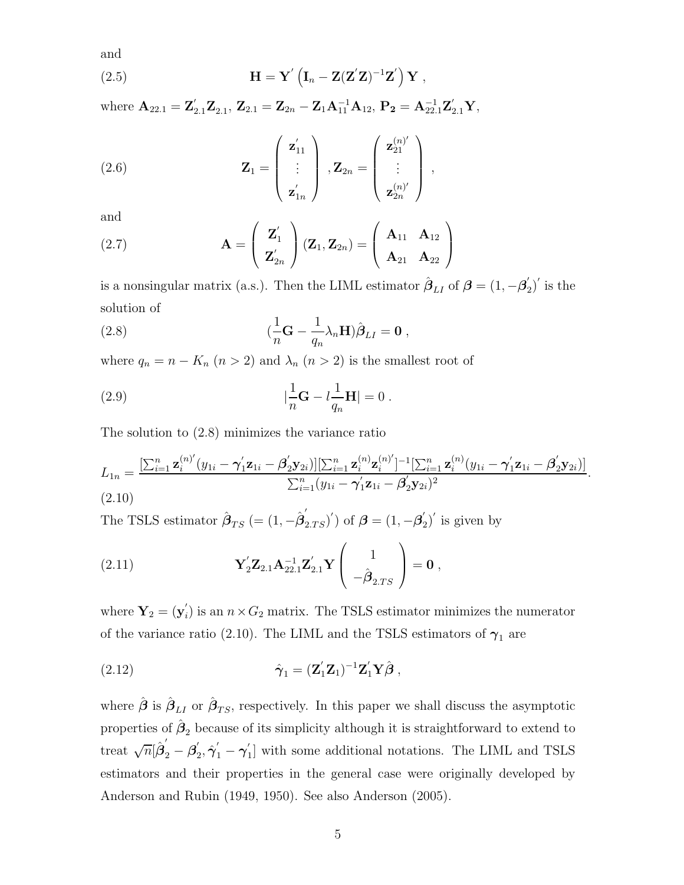and

(2.5) 
$$
\mathbf{H} = \mathbf{Y}' \left( \mathbf{I}_n - \mathbf{Z} (\mathbf{Z}' \mathbf{Z})^{-1} \mathbf{Z}' \right) \mathbf{Y} ,
$$

 $\mathbf{W} = \mathbf{A}_{22.1} = \mathbf{Z}_{2.1}' \mathbf{Z}_{2.1}, \ \mathbf{Z}_{2.1} = \mathbf{Z}_{2n} - \mathbf{Z}_1 \mathbf{A}_{11}^{-1} \mathbf{A}_{12}, \ \mathbf{P}_2 = \mathbf{A}_{22.1}^{-1} \mathbf{Z}_{2.1}' \mathbf{Y},$ 

(2.6) 
$$
\mathbf{Z}_1 = \begin{pmatrix} \mathbf{z}_{11}' \\ \vdots \\ \mathbf{z}_{1n}' \end{pmatrix}, \mathbf{Z}_{2n} = \begin{pmatrix} \mathbf{z}_{21}^{(n)'} \\ \vdots \\ \mathbf{z}_{2n}^{(n)'} \end{pmatrix},
$$

and

and  
(2.7) 
$$
\mathbf{A} = \begin{pmatrix} \mathbf{Z}'_1 \\ \mathbf{Z}'_{2n} \end{pmatrix} (\mathbf{Z}_1, \mathbf{Z}_{2n}) = \begin{pmatrix} \mathbf{A}_{11} & \mathbf{A}_{12} \\ \mathbf{A}_{21} & \mathbf{A}_{22} \end{pmatrix}
$$

is a nonsingular matrix (a.s.). Then the LIML estimator  $\hat{\beta}_{LI}$  of  $\beta = (1, -\beta_2')'$  is the solution of

(2.8) 
$$
(\frac{1}{n}\mathbf{G} - \frac{1}{q_n}\lambda_n\mathbf{H})\hat{\boldsymbol{\beta}}_{LI} = \mathbf{0},
$$

where  $q_n = n - K_n$   $(n > 2)$  and  $\lambda_n$   $(n > 2)$  is the smallest root of

(2.9) 
$$
|\frac{1}{n}\mathbf{G} - l\frac{1}{q_n}\mathbf{H}| = 0.
$$

The solution to (2.8) minimizes the variance ratio

$$
L_{1n} = \frac{\left[\sum_{i=1}^{n} \mathbf{z}_{i}^{(n)}(y_{1i} - \boldsymbol{\gamma}_{1}'\mathbf{z}_{1i} - \boldsymbol{\beta}_{2}'\mathbf{y}_{2i})\right]\left[\sum_{i=1}^{n} \mathbf{z}_{i}^{(n)}\mathbf{z}_{i}^{(n)'}\right]^{-1}\left[\sum_{i=1}^{n} \mathbf{z}_{i}^{(n)}(y_{1i} - \boldsymbol{\gamma}_{1}'\mathbf{z}_{1i} - \boldsymbol{\beta}_{2}'\mathbf{y}_{2i})\right]}{\sum_{i=1}^{n} (y_{1i} - \boldsymbol{\gamma}_{1}'\mathbf{z}_{1i} - \boldsymbol{\beta}_{2}'\mathbf{y}_{2i})^{2}}.
$$
\n(2.10)

The TSLS estimator  $\hat{\boldsymbol{\beta}}_{TS}$  (=  $(1, -\hat{\boldsymbol{\beta}}_{2,TS}')$ ) of  $\boldsymbol{\beta} = (1, -\boldsymbol{\beta}_2')'$  is given by

(2.11) 
$$
\mathbf{Y}_2' \mathbf{Z}_{2.1} \mathbf{A}_{22.1}^{-1} \mathbf{Z}_{2.1}' \mathbf{Y} \begin{pmatrix} 1 \\ -\hat{\boldsymbol{\beta}}_{2.TS} \end{pmatrix} = \mathbf{0},
$$

where  $Y_2 = (y_i)$  is an  $n \times G_2$  matrix. The TSLS estimator minimizes the numerator of the variance ratio (2.10). The LIML and the TSLS estimators of  $\gamma_1$  are

(2.12) 
$$
\hat{\gamma}_1 = (\mathbf{Z}_1' \mathbf{Z}_1)^{-1} \mathbf{Z}_1' \mathbf{Y} \hat{\boldsymbol{\beta}},
$$

where  $\hat{\boldsymbol{\beta}}$  is  $\hat{\boldsymbol{\beta}}_{LI}$  or  $\hat{\boldsymbol{\beta}}_{TS}$ , respectively. In this paper we shall discuss the asymptotic properties of  $\hat{\boldsymbol{\beta}}_2$  because of its simplicity although it is straightforward to extend to treat  $\sqrt{n}[\hat{\beta}'_2 - \hat{\beta}'_2, \hat{\gamma}'_1 - \gamma'_1]$  with some additional notations. The LIML and TSLS estimators and their properties in the general case were originally developed by Anderson and Rubin (1949, 1950). See also Anderson (2005).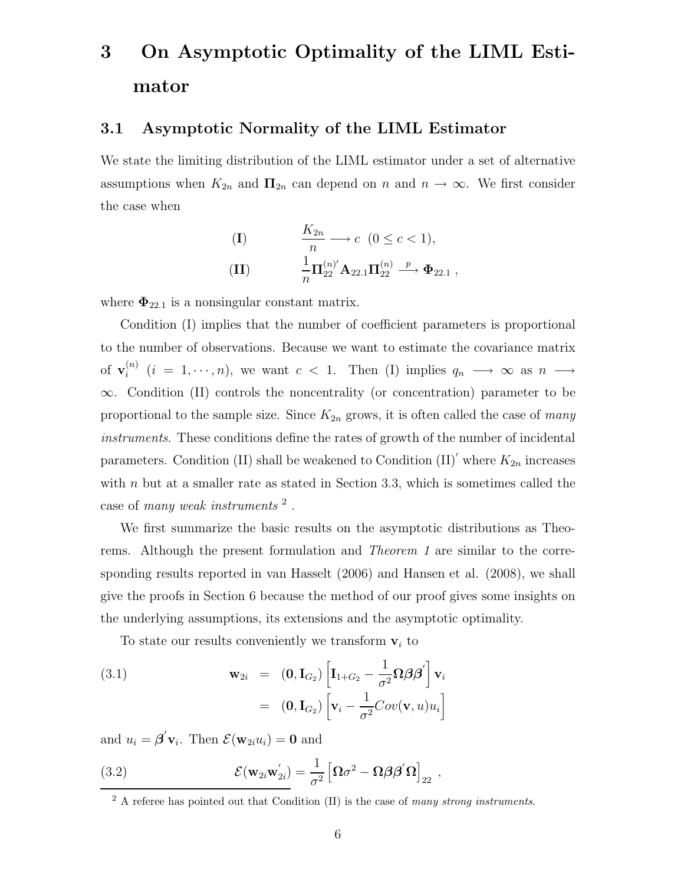# **3 On Asymptotic Optimality of the LIML Estimator**

#### **3.1 Asymptotic Normality of the LIML Estimator**

We state the limiting distribution of the LIML estimator under a set of alternative assumptions when  $K_{2n}$  and  $\Pi_{2n}$  can depend on n and  $n \to \infty$ . We first consider the case when

(1) 
$$
\frac{K_{2n}}{n} \longrightarrow c \ (0 \le c < 1),
$$

$$
\frac{1}{n} \Pi_{22}^{(n)'} \mathbf{A}_{22.1} \Pi_{22}^{(n)} \longrightarrow \Phi_{22.1} ,
$$

where  $\Phi_{22.1}$  is a nonsingular constant matrix.

Condition (I) implies that the number of coefficient parameters is proportional to the number of observations. Because we want to estimate the covariance matrix of  $\mathbf{v}_i^{(n)}$   $(i = 1, \dots, n)$ , we want  $c < 1$ . Then (I) implies  $q_n \longrightarrow \infty$  as  $n \longrightarrow$ ∞. Condition (II) controls the noncentrality (or concentration) parameter to be proportional to the sample size. Since  $K_{2n}$  grows, it is often called the case of *many instruments*. These conditions define the rates of growth of the number of incidental parameters. Condition (II) shall be weakened to Condition  $(II)'$  where  $K_{2n}$  increases with  $n$  but at a smaller rate as stated in Section 3.3, which is sometimes called the case of *many weak instruments* <sup>2</sup> .

We first summarize the basic results on the asymptotic distributions as Theorems. Although the present formulation and *Theorem 1* are similar to the corresponding results reported in van Hasselt (2006) and Hansen et al. (2008), we shall give the proofs in Section 6 because the method of our proof gives some insights on the underlying assumptions, its extensions and the asymptotic optimality.

To state our results conveniently we transform  $v_i$  to

(3.1) 
$$
\mathbf{w}_{2i} = (\mathbf{0}, \mathbf{I}_{G_2}) \left[ \mathbf{I}_{1+G_2} - \frac{1}{\sigma^2} \mathbf{\Omega} \boldsymbol{\beta} \boldsymbol{\beta}' \right] \mathbf{v}_i
$$

$$
= (\mathbf{0}, \mathbf{I}_{G_2}) \left[ \mathbf{v}_i - \frac{1}{\sigma^2} Cov(\mathbf{v}, u) u_i \right]
$$

and  $u_i = \boldsymbol{\beta}' \mathbf{v}_i$ . Then  $\mathcal{E}(\mathbf{w}_{2i}u_i) = \mathbf{0}$  and

(3.2) 
$$
\mathcal{E}(\mathbf{w}_{2i}\mathbf{w}_{2i}^{\prime}) = \frac{1}{\sigma^2} \left[\mathbf{\Omega}\sigma^2 - \mathbf{\Omega}\boldsymbol{\beta}\boldsymbol{\beta}^{\prime}\mathbf{\Omega}\right]_{22},
$$

<sup>2</sup> A referee has pointed out that Condition (II) is the case of *many strong instruments*.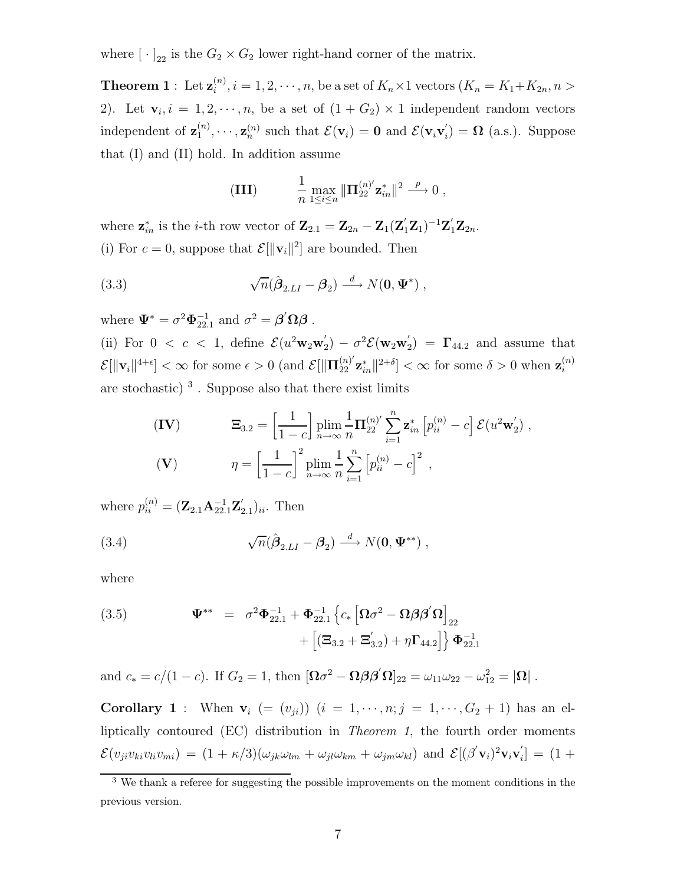where  $[\cdot]_{22}$  is the  $G_2 \times G_2$  lower right-hand corner of the matrix.

**Theorem 1** : Let  $\mathbf{z}_{i}^{(n)}$ ,  $i = 1, 2, \dots, n$ , be a set of  $K_n \times 1$  vectors  $(K_n = K_1 + K_{2n}, n >$ 2). Let  $\mathbf{v}_i, i = 1, 2, \dots, n$ , be a set of  $(1 + G_2) \times 1$  independent random vectors independent of  $\mathbf{z}_{1}^{(n)}, \dots, \mathbf{z}_{n}^{(n)}$  such that  $\mathcal{E}(\mathbf{v}_{i}) = \mathbf{0}$  and  $\mathcal{E}(\mathbf{v}_{i} \mathbf{v}_{i}') = \mathbf{\Omega}$  (a.s.). Suppose that (I) and (II) hold. In addition assume

(III) 
$$
\frac{1}{n} \max_{1 \le i \le n} \|\Pi_{22}^{(n)'} \mathbf{z}_{in}^* \|^2 \xrightarrow{p} 0,
$$

where  $\mathbf{z}_{in}^*$  is the *i*-th row vector of  $\mathbf{Z}_{2.1} = \mathbf{Z}_{2n} - \mathbf{Z}_1(\mathbf{Z}_1'\mathbf{Z}_1)^{-1}\mathbf{Z}_1'\mathbf{Z}_{2n}$ . (i) For  $c = 0$ , suppose that  $\mathcal{E}[\|\mathbf{v}_i\|^2]$  are bounded. Then

(3.3) 
$$
\sqrt{n}(\hat{\boldsymbol{\beta}}_{2.LI} - \boldsymbol{\beta}_2) \stackrel{d}{\longrightarrow} N(\mathbf{0}, \boldsymbol{\Psi}^*) ,
$$

where  $\Psi^* = \sigma^2 \Phi_{22.1}^{-1}$  and  $\sigma^2 = \beta' \Omega \beta$ .

(ii) For  $0 < c < 1$ , define  $\mathcal{E}(u^2 \mathbf{w}_2 \mathbf{w}_2') - \sigma^2 \mathcal{E}(\mathbf{w}_2 \mathbf{w}_2') = \mathbf{\Gamma}_{44.2}$  and assume that  $\mathcal{E}[\|\mathbf{v}_i\|^{4+\epsilon}] < \infty$  for some  $\epsilon > 0$  (and  $\mathcal{E}[\|\mathbf{\Pi}_{22}^{(n)'}\mathbf{z}_{in}^* \|^{2+\delta}] < \infty$  for some  $\delta > 0$  when  $\mathbf{z}_i^{(n)}$ i are stochastic)<sup>3</sup>. Suppose also that there exist limits

$$
\begin{aligned}\n\textbf{(IV)} \qquad & \Xi_{3.2} = \left[\frac{1}{1-c}\right] \min_{n \to \infty} \frac{1}{n} \Pi_{22}^{(n)'} \sum_{i=1}^{n} \mathbf{z}_{in}^* \left[p_{ii}^{(n)} - c\right] \mathcal{E}(u^2 \mathbf{w}_2'), \\
\textbf{(V)} \qquad & \eta = \left[\frac{1}{1-c}\right]^2 \min_{n \to \infty} \frac{1}{n} \sum_{i=1}^{n} \left[p_{ii}^{(n)} - c\right]^2,\n\end{aligned}
$$

where  $p_{ii}^{(n)} = (\mathbf{Z}_{2.1} \mathbf{A}_{22.1}^{-1} \mathbf{Z}_{2.1}')_{ii}$ . Then

(3.4) 
$$
\sqrt{n}(\hat{\boldsymbol{\beta}}_{2.LI} - \boldsymbol{\beta}_2) \stackrel{d}{\longrightarrow} N(\mathbf{0}, \boldsymbol{\Psi}^{**}),
$$

where

(3.5) 
$$
\Psi^{**} = \sigma^2 \Phi_{22.1}^{-1} + \Phi_{22.1}^{-1} \left\{ c_* \left[ \Omega \sigma^2 - \Omega \beta \beta' \Omega \right]_{22} + \left[ \left( \Xi_{3.2} + \Xi_{3.2}' \right) + \eta \Gamma_{44.2} \right] \right\} \Phi_{22.1}^{-1}
$$

and  $c_* = c/(1-c)$ . If  $G_2 = 1$ , then  $[\Omega \sigma^2 - \Omega \beta \beta' \Omega]_{22} = \omega_{11} \omega_{22} - \omega_{12}^2 = |\Omega|$ .

**Corollary 1** : When  $v_i$  (=  $(v_{ji})$ ) ( $i = 1, \dots, n; j = 1, \dots, G_2 + 1$ ) has an elliptically contoured (EC) distribution in *Theorem 1*, the fourth order moments  $\mathcal{E}(v_{ji}v_{ki}v_{li}v_{mi}) = (1 + \kappa/3)(\omega_{jk}\omega_{lm} + \omega_{jl}\omega_{km} + \omega_{jm}\omega_{kl})$  and  $\mathcal{E}[(\beta' \mathbf{v}_i)^2 \mathbf{v}_i \mathbf{v}_i'] = (1 + \kappa/3)(\omega_{jk}\omega_{lm} + \omega_{jl}\omega_{km} + \omega_{jm}\omega_{kl})$ 

<sup>&</sup>lt;sup>3</sup> We thank a referee for suggesting the possible improvements on the moment conditions in the previous version.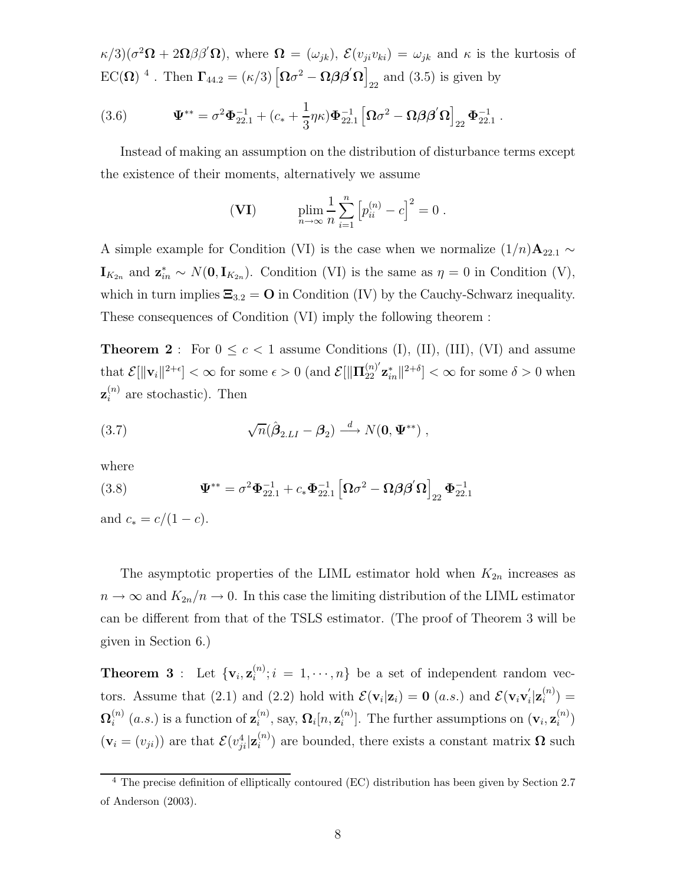$\kappa/3$ )( $\sigma^2 \Omega + 2\Omega\beta\beta' \Omega$ ), where  $\Omega = (\omega_{jk})$ ,  $\mathcal{E}(v_{ji}v_{ki}) = \omega_{jk}$  and  $\kappa$  is the kurtosis of  $EC(\Omega)$ <sup>4</sup>. Then  $\Gamma_{44.2} = (\kappa/3) \left[ \Omega \sigma^2 - \Omega \beta \beta' \Omega \right]_{22}$  and (3.5) is given by

(3.6) 
$$
\mathbf{\Psi}^{**} = \sigma^2 \mathbf{\Phi}_{22.1}^{-1} + (c_* + \frac{1}{3} \eta \kappa) \mathbf{\Phi}_{22.1}^{-1} \left[ \mathbf{\Omega} \sigma^2 - \mathbf{\Omega} \beta \mathbf{\beta}^{\'} \mathbf{\Omega} \right]_{22} \mathbf{\Phi}_{22.1}^{-1}.
$$

Instead of making an assumption on the distribution of disturbance terms except the existence of their moments, alternatively we assume

(VI) 
$$
\lim_{n \to \infty} \frac{1}{n} \sum_{i=1}^{n} [p_{ii}^{(n)} - c]^{2} = 0.
$$

A simple example for Condition (VI) is the case when we normalize  $(1/n)$ **A**<sub>22.1</sub> ∼  $\mathbf{I}_{K_{2n}}$  and  $\mathbf{z}_{in}^* \sim N(\mathbf{0}, \mathbf{I}_{K_{2n}})$ . Condition (VI) is the same as  $\eta = 0$  in Condition (V), which in turn implies  $\Xi_{3,2} = \mathbf{O}$  in Condition (IV) by the Cauchy-Schwarz inequality. These consequences of Condition (VI) imply the following theorem :

**Theorem 2** : For  $0 \leq c < 1$  assume Conditions (I), (II), (III), (VI) and assume that  $\mathcal{E}[\|\mathbf{v}_i\|^{2+\epsilon}] < \infty$  for some  $\epsilon > 0$  (and  $\mathcal{E}[\|\mathbf{\Pi}_{22}^{(n)'}\mathbf{z}_{in}^* \|^{2+\delta}] < \infty$  for some  $\delta > 0$  when  $\mathbf{z}_i^{(n)}$  are stochastic). Then

(3.7) 
$$
\sqrt{n}(\hat{\boldsymbol{\beta}}_{2.LI} - \boldsymbol{\beta}_2) \stackrel{d}{\longrightarrow} N(\mathbf{0}, \boldsymbol{\Psi}^{**}),
$$

where

(3.8) 
$$
\Psi^{**} = \sigma^2 \Phi_{22.1}^{-1} + c_* \Phi_{22.1}^{-1} \left[ \Omega \sigma^2 - \Omega \beta \beta' \Omega \right]_{22} \Phi_{22.1}^{-1}
$$

and  $c_* = c/(1 - c)$ .

The asymptotic properties of the LIML estimator hold when  $K_{2n}$  increases as  $n \to \infty$  and  $K_{2n}/n \to 0$ . In this case the limiting distribution of the LIML estimator can be different from that of the TSLS estimator. (The proof of Theorem 3 will be given in Section 6.)

**Theorem 3** : Let  $\{v_i, z_i^{(n)}; i = 1, \dots, n\}$  be a set of independent random vectors. Assume that (2.1) and (2.2) hold with  $\mathcal{E}(\mathbf{v}_i|\mathbf{z}_i) = \mathbf{0}$  (a.s.) and  $\mathcal{E}(\mathbf{v}_i\mathbf{v}_i'|\mathbf{z}_i^{(n)}) =$  $\mathbf{\Omega}_i^{(n)}$  (*a.s.*) is a function of  $\mathbf{z}_i^{(n)}$ , say,  $\mathbf{\Omega}_i[n, \mathbf{z}_i^{(n)}]$ . The further assumptions on  $(\mathbf{v}_i, \mathbf{z}_i^{(n)})$  $(\mathbf{v}_i = (v_{ji}))$  are that  $\mathcal{E}(v_{ji}^4|\mathbf{z}_i^{(n)})$  are bounded, there exists a constant matrix  $\mathbf{\Omega}$  such

<sup>&</sup>lt;sup>4</sup> The precise definition of elliptically contoured (EC) distribution has been given by Section 2.7 of Anderson (2003).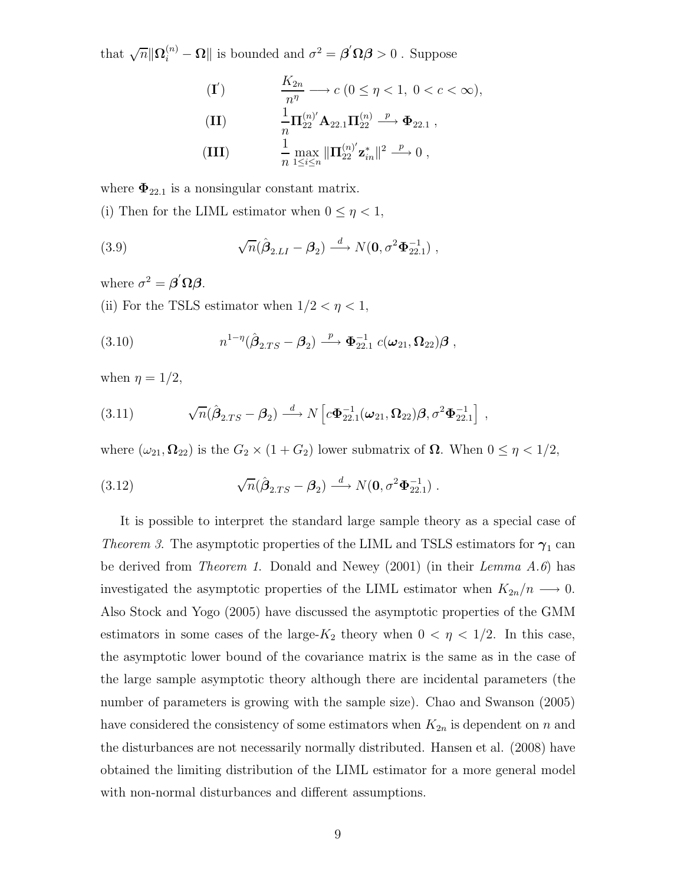that  $\sqrt{n} \|\mathbf{\Omega}_i^{(n)} - \mathbf{\Omega}\|$  is bounded and  $\sigma^2 = \boldsymbol{\beta}' \mathbf{\Omega} \boldsymbol{\beta} > 0$ . Suppose

(II) 
$$
\frac{K_{2n}}{n^{\eta}} \longrightarrow c \ (0 \leq \eta < 1, \ 0 < c < \infty),
$$
\n(III) 
$$
\frac{1}{n} \Pi_{22}^{(n)'} \mathbf{A}_{22.1} \Pi_{22}^{(n)} \xrightarrow{p} \Phi_{22.1},
$$
\n(III) 
$$
\frac{1}{n} \max_{1 \leq i \leq n} \|\Pi_{22}^{(n)'} \mathbf{z}_{in}^{*}\|^2 \xrightarrow{p} 0,
$$

where  $\Phi_{22.1}$  is a nonsingular constant matrix.

(i) Then for the LIML estimator when  $0 \leq \eta < 1$ ,

(3.9) 
$$
\sqrt{n}(\hat{\boldsymbol{\beta}}_{2.LI} - \boldsymbol{\beta}_2) \stackrel{d}{\longrightarrow} N(\mathbf{0}, \sigma^2 \boldsymbol{\Phi}_{22.1}^{-1}),
$$

where  $\sigma^2 = \boldsymbol{\beta}' \boldsymbol{\Omega} \boldsymbol{\beta}$ .

(ii) For the TSLS estimator when  $1/2 < \eta < 1$ ,

(3.10) 
$$
n^{1-\eta}(\hat{\boldsymbol{\beta}}_{2.TS} - \boldsymbol{\beta}_2) \xrightarrow{p} \Phi_{22.1}^{-1} c(\boldsymbol{\omega}_{21}, \Omega_{22}) \boldsymbol{\beta},
$$

when  $\eta = 1/2$ ,

(3.11) 
$$
\sqrt{n}(\hat{\boldsymbol{\beta}}_{2,TS} - \boldsymbol{\beta}_2) \stackrel{d}{\longrightarrow} N\left[c\Phi_{22.1}^{-1}(\boldsymbol{\omega}_{21},\boldsymbol{\Omega}_{22})\boldsymbol{\beta},\sigma^2\Phi_{22.1}^{-1}\right],
$$

where  $(\omega_{21}, \Omega_{22})$  is the  $G_2 \times (1 + G_2)$  lower submatrix of  $\Omega$ . When  $0 \leq \eta < 1/2$ ,

(3.12) 
$$
\sqrt{n}(\hat{\boldsymbol{\beta}}_{2,TS} - \boldsymbol{\beta}_2) \stackrel{d}{\longrightarrow} N(\mathbf{0}, \sigma^2 \boldsymbol{\Phi}_{22.1}^{-1}).
$$

It is possible to interpret the standard large sample theory as a special case of *Theorem 3*. The asymptotic properties of the LIML and TSLS estimators for  $\gamma_1$  can be derived from *Theorem 1*. Donald and Newey (2001) (in their *Lemma A.6*) has investigated the asymptotic properties of the LIML estimator when  $K_{2n}/n \longrightarrow 0$ . Also Stock and Yogo (2005) have discussed the asymptotic properties of the GMM estimators in some cases of the large- $K_2$  theory when  $0 < \eta < 1/2$ . In this case, the asymptotic lower bound of the covariance matrix is the same as in the case of the large sample asymptotic theory although there are incidental parameters (the number of parameters is growing with the sample size). Chao and Swanson (2005) have considered the consistency of some estimators when  $K_{2n}$  is dependent on n and the disturbances are not necessarily normally distributed. Hansen et al. (2008) have obtained the limiting distribution of the LIML estimator for a more general model with non-normal disturbances and different assumptions.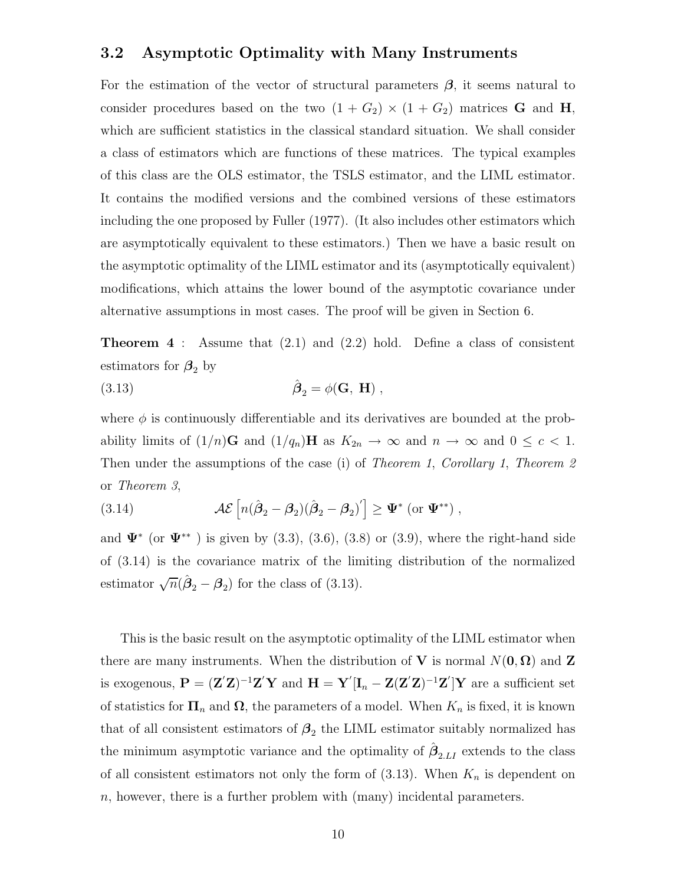### **3.2 Asymptotic Optimality with Many Instruments**

For the estimation of the vector of structural parameters  $\beta$ , it seems natural to consider procedures based on the two  $(1 + G_2) \times (1 + G_2)$  matrices **G** and **H**, which are sufficient statistics in the classical standard situation. We shall consider a class of estimators which are functions of these matrices. The typical examples of this class are the OLS estimator, the TSLS estimator, and the LIML estimator. It contains the modified versions and the combined versions of these estimators including the one proposed by Fuller (1977). (It also includes other estimators which are asymptotically equivalent to these estimators.) Then we have a basic result on the asymptotic optimality of the LIML estimator and its (asymptotically equivalent) modifications, which attains the lower bound of the asymptotic covariance under alternative assumptions in most cases. The proof will be given in Section 6.

**Theorem 4** : Assume that (2.1) and (2.2) hold. Define a class of consistent estimators for  $\beta_2$  by

(3.13) 
$$
\hat{\boldsymbol{\beta}}_2 = \phi(\mathbf{G}, \mathbf{H}),
$$

where  $\phi$  is continuously differentiable and its derivatives are bounded at the probability limits of  $(1/n)\mathbf{G}$  and  $(1/q_n)\mathbf{H}$  as  $K_{2n} \to \infty$  and  $n \to \infty$  and  $0 \leq c < 1$ . Then under the assumptions of the case (i) of *Theorem 1*, *Corollary 1*, *Theorem 2* or *Theorem 3*,

(3.14) 
$$
\mathcal{AE}\left[n(\hat{\boldsymbol{\beta}}_2-\boldsymbol{\beta}_2)(\hat{\boldsymbol{\beta}}_2-\boldsymbol{\beta}_2)'\right] \geq \Psi^* \text{ (or } \Psi^{**}\text{)},
$$

and  $\Psi^*$  (or  $\Psi^{**}$ ) is given by (3.3), (3.6), (3.8) or (3.9), where the right-hand side of (3.14) is the covariance matrix of the limiting distribution of the normalized estimator  $\sqrt{n}(\hat{\beta}_2 - \beta_2)$  for the class of (3.13).

This is the basic result on the asymptotic optimality of the LIML estimator when there are many instruments. When the distribution of **V** is normal  $N(\mathbf{0}, \mathbf{\Omega})$  and **Z** is exogenous,  $P = (Z'Z)^{-1}Z'Y$  and  $H = Y'[I_n - Z(Z'Z)^{-1}Z']Y$  are a sufficient set of statistics for  $\Pi_n$  and  $\Omega$ , the parameters of a model. When  $K_n$  is fixed, it is known that of all consistent estimators of  $\beta_2$  the LIML estimator suitably normalized has the minimum asymptotic variance and the optimality of  $\hat{\beta}_{2,LI}$  extends to the class of all consistent estimators not only the form of  $(3.13)$ . When  $K_n$  is dependent on  $n$ , however, there is a further problem with (many) incidental parameters.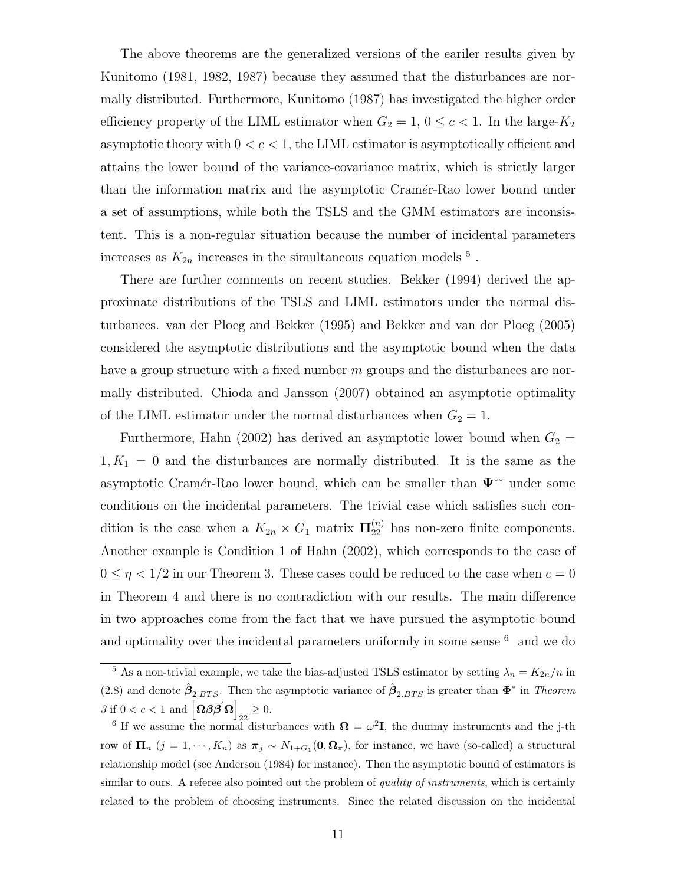The above theorems are the generalized versions of the eariler results given by Kunitomo (1981, 1982, 1987) because they assumed that the disturbances are normally distributed. Furthermore, Kunitomo (1987) has investigated the higher order efficiency property of the LIML estimator when  $G_2 = 1, 0 \le c < 1$ . In the large- $K_2$ asymptotic theory with  $0 < c < 1$ , the LIML estimator is asymptotically efficient and attains the lower bound of the variance-covariance matrix, which is strictly larger than the information matrix and the asymptotic Cramér-Rao lower bound under a set of assumptions, while both the TSLS and the GMM estimators are inconsistent. This is a non-regular situation because the number of incidental parameters increases as  $K_{2n}$  increases in the simultaneous equation models  $^5$  .

There are further comments on recent studies. Bekker (1994) derived the approximate distributions of the TSLS and LIML estimators under the normal disturbances. van der Ploeg and Bekker (1995) and Bekker and van der Ploeg (2005) considered the asymptotic distributions and the asymptotic bound when the data have a group structure with a fixed number  $m$  groups and the disturbances are normally distributed. Chioda and Jansson (2007) obtained an asymptotic optimality of the LIML estimator under the normal disturbances when  $G_2 = 1$ .

Furthermore, Hahn (2002) has derived an asymptotic lower bound when  $G_2$  =  $1, K_1 = 0$  and the disturbances are normally distributed. It is the same as the asymptotic Cram´er-Rao lower bound, which can be smaller than **Ψ**∗∗ under some conditions on the incidental parameters. The trivial case which satisfies such condition is the case when a  $K_{2n} \times G_1$  matrix  $\Pi_{22}^{(n)}$  has non-zero finite components. Another example is Condition 1 of Hahn (2002), which corresponds to the case of  $0 \leq \eta < 1/2$  in our Theorem 3. These cases could be reduced to the case when  $c = 0$ in Theorem 4 and there is no contradiction with our results. The main difference in two approaches come from the fact that we have pursued the asymptotic bound and optimality over the incidental parameters uniformly in some sense  $^6\;$  and we do

<sup>&</sup>lt;sup>5</sup> As a non-trivial example, we take the bias-adjusted TSLS estimator by setting  $\lambda_n = K_{2n}/n$  in (2.8) and denote  $\hat{\boldsymbol{\beta}}_{2,BTS}$ . Then the asymptotic variance of  $\hat{\boldsymbol{\beta}}_{2,BTS}$  is greater than  $\boldsymbol{\Phi}^*$  in *Theorem*  $\beta$  if  $0 < c < 1$  and  $\left[\Omega \beta \beta \right] \Omega$  $_{22} \geq 0.$ 

<sup>&</sup>lt;sup>6</sup> If we assume the normal disturbances with  $\mathbf{\Omega} = \omega^2 \mathbf{I}$ , the dummy instruments and the j-th row of  $\Pi_n$  (j = 1, ···,  $K_n$ ) as  $\pi_j \sim N_{1+G_1}(0, \Omega_\pi)$ , for instance, we have (so-called) a structural relationship model (see Anderson (1984) for instance). Then the asymptotic bound of estimators is similar to ours. A referee also pointed out the problem of *quality of instruments*, which is certainly related to the problem of choosing instruments. Since the related discussion on the incidental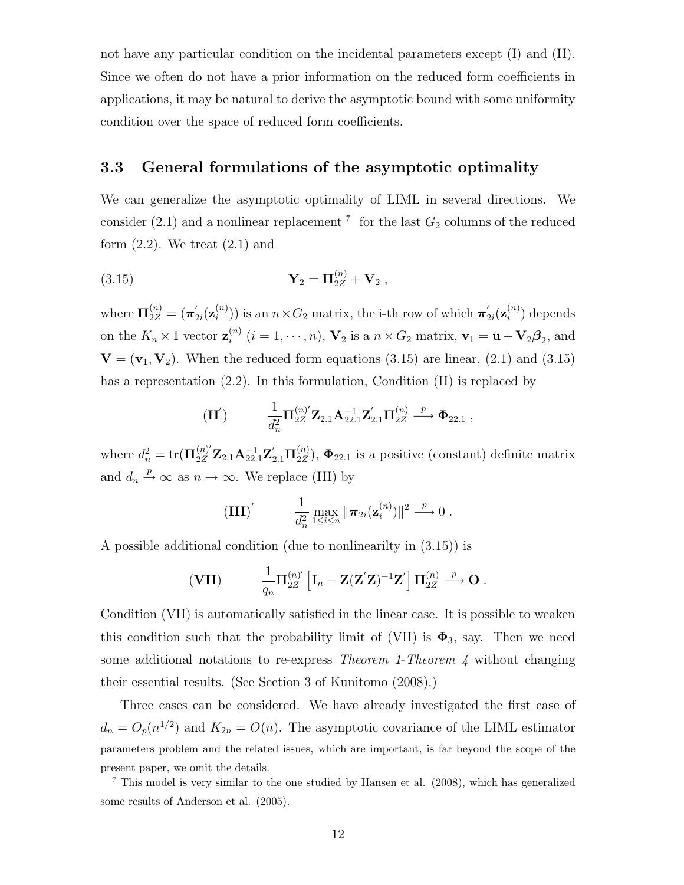not have any particular condition on the incidental parameters except (I) and (II). Since we often do not have a prior information on the reduced form coefficients in applications, it may be natural to derive the asymptotic bound with some uniformity condition over the space of reduced form coefficients.

## **3.3 General formulations of the asymptotic optimality**

We can generalize the asymptotic optimality of LIML in several directions. We consider (2.1) and a nonlinear replacement  $\frac{7}{1}$  for the last  $G_2$  columns of the reduced form  $(2.2)$ . We treat  $(2.1)$  and

(3.15) 
$$
\mathbf{Y}_2 = \mathbf{\Pi}_{2Z}^{(n)} + \mathbf{V}_2 ,
$$

where  $\Pi_{2Z}^{(n)} = (\pi'_{2i}(\mathbf{z}_i^{(n)}))$  is an  $n \times G_2$  matrix, the i-th row of which  $\pi'_{2i}(\mathbf{z}_i^{(n)})$  depends on the  $K_n \times 1$  vector  $\mathbf{z}_i^{(n)}$   $(i = 1, \dots, n)$ ,  $\mathbf{V}_2$  is a  $n \times G_2$  matrix,  $\mathbf{v}_1 = \mathbf{u} + \mathbf{V}_2 \boldsymbol{\beta}_2$ , and  $\mathbf{V} = (\mathbf{v}_1, \mathbf{V}_2)$ . When the reduced form equations (3.15) are linear, (2.1) and (3.15) has a representation  $(2.2)$ . In this formulation, Condition (II) is replaced by

$$
(\textbf{II}') \qquad \qquad \frac{1}{d_n^2} \textbf{\Pi}_{2Z}^{(n)'} \textbf{Z}_{2.1} \textbf{A}_{22.1}^{-1} \textbf{Z}_{2.1}' \textbf{\Pi}_{2Z}^{(n)} \xrightarrow{p} \Phi_{22.1} ,
$$

where  $d_n^2 = \text{tr}(\mathbf{\Pi}_{2Z}^{(n)'}\mathbf{Z}_{2.1}\mathbf{A}_{22.1}^{-1}\mathbf{Z}_{2.1}'\mathbf{\Pi}_{2Z}^{(n)}), \mathbf{\Phi}_{22.1}$  is a positive (constant) definite matrix and  $d_n \stackrel{p}{\rightarrow} \infty$  as  $n \rightarrow \infty$ . We replace (III) by

$$
\left(\mathbf{III}\right)' \qquad \frac{1}{d_n^2} \max_{1 \leq i \leq n} \|\boldsymbol{\pi}_{2i}(\mathbf{z}_i^{(n)})\|^2 \xrightarrow{p} 0.
$$

A possible additional condition (due to nonlinearilty in (3.15)) is

$$
\textbf{(VII)} \qquad \quad \frac{1}{q_n} \mathbf{\Pi}_{2Z}^{(n)'} \left[\mathbf{I}_n - \mathbf{Z} (\mathbf{Z}'\mathbf{Z})^{-1} \mathbf{Z}'\right] \mathbf{\Pi}_{2Z}^{(n)} \stackrel{p}{\longrightarrow} \mathbf{O} \; .
$$

Condition (VII) is automatically satisfied in the linear case. It is possible to weaken this condition such that the probability limit of (VII) is  $\Phi_3$ , say. Then we need some additional notations to re-express *Theorem 1*-*Theorem 4* without changing their essential results. (See Section 3 of Kunitomo (2008).)

Three cases can be considered. We have already investigated the first case of  $d_n = O_p(n^{1/2})$  and  $K_{2n} = O(n)$ . The asymptotic covariance of the LIML estimator parameters problem and the related issues, which are important, is far beyond the scope of the present paper, we omit the details.

<sup>&</sup>lt;sup>7</sup> This model is very similar to the one studied by Hansen et al.  $(2008)$ , which has generalized some results of Anderson et al. (2005).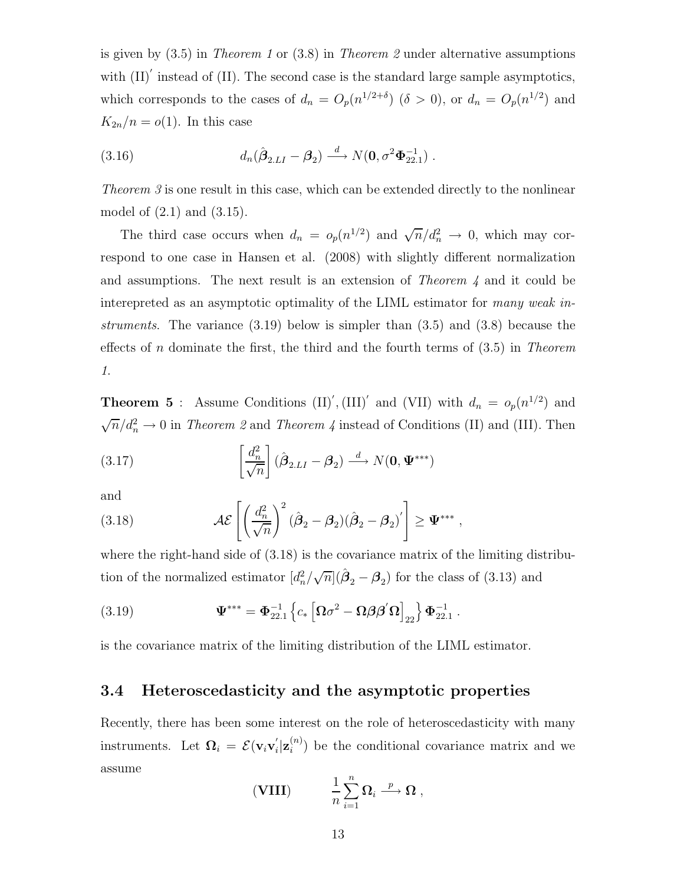is given by (3.5) in *Theorem 1* or (3.8) in *Theorem 2* under alternative assumptions with  $(II)'$  instead of  $(II)$ . The second case is the standard large sample asymptotics, which corresponds to the cases of  $d_n = O_p(n^{1/2+\delta})$  ( $\delta > 0$ ), or  $d_n = O_p(n^{1/2})$  and  $K_{2n}/n = o(1)$ . In this case

(3.16) 
$$
d_n(\hat{\boldsymbol{\beta}}_{2.LI} - \boldsymbol{\beta}_2) \stackrel{d}{\longrightarrow} N(\mathbf{0}, \sigma^2 \boldsymbol{\Phi}_{22.1}^{-1}).
$$

*Theorem 3* is one result in this case, which can be extended directly to the nonlinear model of (2.1) and (3.15).

The third case occurs when  $d_n = o_p(n^{1/2})$  and  $\sqrt{n}/d_n^2 \to 0$ , which may correspond to one case in Hansen et al. (2008) with slightly different normalization and assumptions. The next result is an extension of *Theorem 4* and it could be interepreted as an asymptotic optimality of the LIML estimator for *many weak instruments*. The variance (3.19) below is simpler than (3.5) and (3.8) because the effects of n dominate the first, the third and the fourth terms of (3.5) in *Theorem 1*.

**Theorem 5**: Assume Conditions  $(II)'$ ,  $(III)'$  and  $(VII)$  with  $d_n = o_p(n^{1/2})$  and  $\sqrt{n}/d_n^2 \to 0$  in *Theorem 2* and *Theorem 4* instead of Conditions (II) and (III). Then

(3.17) 
$$
\left[\frac{d_n^2}{\sqrt{n}}\right](\hat{\boldsymbol{\beta}}_{2.LI} - \boldsymbol{\beta}_2) \stackrel{d}{\longrightarrow} N(\mathbf{0}, \boldsymbol{\Psi}^{***})
$$

and

(3.18) 
$$
\mathcal{AE}\left[\left(\frac{d_n^2}{\sqrt{n}}\right)^2(\hat{\boldsymbol{\beta}}_2-\boldsymbol{\beta}_2)(\hat{\boldsymbol{\beta}}_2-\boldsymbol{\beta}_2)'\right] \geq \Psi^{***},
$$

where the right-hand side of (3.18) is the covariance matrix of the limiting distribution of the normalized estimator  $\left[d_n^2/\sqrt{n}\right](\hat{\beta}_2 - \beta_2)$  for the class of (3.13) and

(3.19) 
$$
\mathbf{\Psi}^{***} = \mathbf{\Phi}_{22.1}^{-1} \left\{ c_* \left[ \mathbf{\Omega} \sigma^2 - \mathbf{\Omega} \boldsymbol{\beta} \boldsymbol{\beta}' \mathbf{\Omega} \right]_{22} \right\} \mathbf{\Phi}_{22.1}^{-1} .
$$

is the covariance matrix of the limiting distribution of the LIML estimator.

### **3.4 Heteroscedasticity and the asymptotic properties**

Recently, there has been some interest on the role of heteroscedasticity with many instruments. Let  $\mathbf{\Omega}_i = \mathcal{E}(\mathbf{v}_i \mathbf{v}_i' | \mathbf{z}_i^{(n)})$  be the conditional covariance matrix and we assume

(VIII) 
$$
\frac{1}{n} \sum_{i=1}^{n} \Omega_i \stackrel{p}{\longrightarrow} \Omega ,
$$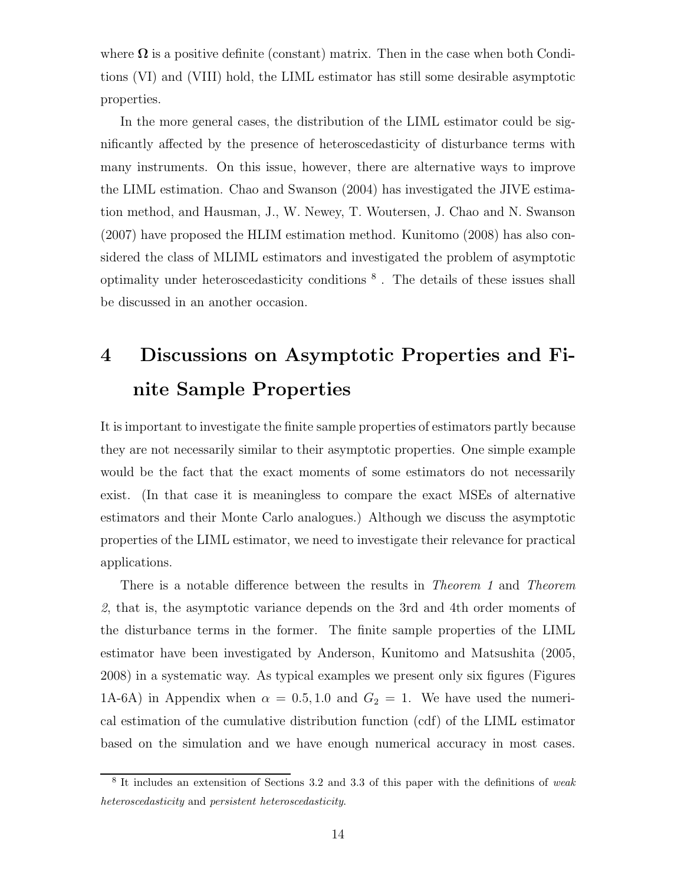where  $\Omega$  is a positive definite (constant) matrix. Then in the case when both Conditions (VI) and (VIII) hold, the LIML estimator has still some desirable asymptotic properties.

In the more general cases, the distribution of the LIML estimator could be significantly affected by the presence of heteroscedasticity of disturbance terms with many instruments. On this issue, however, there are alternative ways to improve the LIML estimation. Chao and Swanson (2004) has investigated the JIVE estimation method, and Hausman, J., W. Newey, T. Woutersen, J. Chao and N. Swanson (2007) have proposed the HLIM estimation method. Kunitomo (2008) has also considered the class of MLIML estimators and investigated the problem of asymptotic optimality under heteroscedasticity conditions <sup>8</sup> . The details of these issues shall be discussed in an another occasion.

# **4 Discussions on Asymptotic Properties and Finite Sample Properties**

It is important to investigate the finite sample properties of estimators partly because they are not necessarily similar to their asymptotic properties. One simple example would be the fact that the exact moments of some estimators do not necessarily exist. (In that case it is meaningless to compare the exact MSEs of alternative estimators and their Monte Carlo analogues.) Although we discuss the asymptotic properties of the LIML estimator, we need to investigate their relevance for practical applications.

There is a notable difference between the results in *Theorem 1* and *Theorem 2*, that is, the asymptotic variance depends on the 3rd and 4th order moments of the disturbance terms in the former. The finite sample properties of the LIML estimator have been investigated by Anderson, Kunitomo and Matsushita (2005, 2008) in a systematic way. As typical examples we present only six figures (Figures 1A-6A) in Appendix when  $\alpha = 0.5, 1.0$  and  $G_2 = 1$ . We have used the numerical estimation of the cumulative distribution function (cdf) of the LIML estimator based on the simulation and we have enough numerical accuracy in most cases.

<sup>8</sup> It includes an extensition of Sections 3.2 and 3.3 of this paper with the definitions of *weak heteroscedasticity* and *persistent heteroscedasticity*.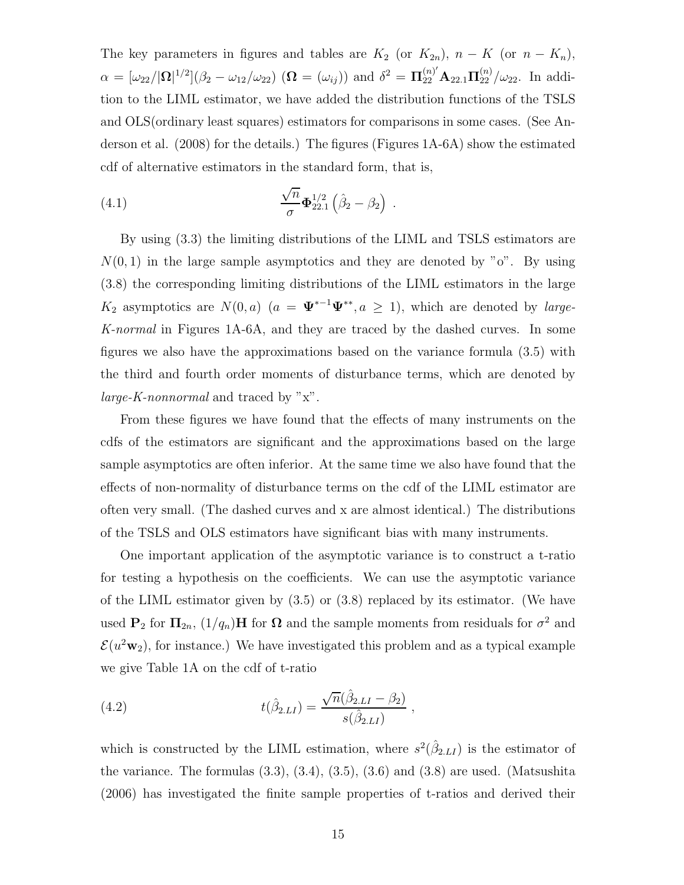The key parameters in figures and tables are  $K_2$  (or  $K_{2n}$ ),  $n - K$  (or  $n - K_n$ ),  $\alpha = [\omega_{22}/|\mathbf{\Omega}|^{1/2}](\beta_2 - \omega_{12}/\omega_{22}) \; (\mathbf{\Omega} = (\omega_{ij})) \text{ and } \delta^2 = \mathbf{\Pi}_{22}^{(n)'} \mathbf{A}_{22.1} \mathbf{\Pi}_{22}^{(n)}/\omega_{22}.$  In addition to the LIML estimator, we have added the distribution functions of the TSLS and OLS(ordinary least squares) estimators for comparisons in some cases. (See Anderson et al. (2008) for the details.) The figures (Figures 1A-6A) show the estimated cdf of alternative estimators in the standard form, that is,

(4.1) 
$$
\frac{\sqrt{n}}{\sigma} \mathbf{\Phi}_{22.1}^{1/2} (\hat{\beta}_2 - \beta_2) .
$$

By using (3.3) the limiting distributions of the LIML and TSLS estimators are  $N(0, 1)$  in the large sample asymptotics and they are denoted by "o". By using (3.8) the corresponding limiting distributions of the LIML estimators in the large K<sub>2</sub> asymptotics are  $N(0, a)$  ( $a = \Psi^{*-1}\Psi^{**}, a \ge 1$ ), which are denoted by *large*-*K-normal* in Figures 1A-6A, and they are traced by the dashed curves. In some figures we also have the approximations based on the variance formula (3.5) with the third and fourth order moments of disturbance terms, which are denoted by *large-K-nonnormal* and traced by "x".

From these figures we have found that the effects of many instruments on the cdfs of the estimators are significant and the approximations based on the large sample asymptotics are often inferior. At the same time we also have found that the effects of non-normality of disturbance terms on the cdf of the LIML estimator are often very small. (The dashed curves and x are almost identical.) The distributions of the TSLS and OLS estimators have significant bias with many instruments.

One important application of the asymptotic variance is to construct a t-ratio for testing a hypothesis on the coefficients. We can use the asymptotic variance of the LIML estimator given by (3.5) or (3.8) replaced by its estimator. (We have used **P**<sub>2</sub> for  $\Pi_{2n}$ ,  $(1/q_n)$ **H** for  $\Omega$  and the sample moments from residuals for  $\sigma^2$  and  $\mathcal{E}(u^2w_2)$ , for instance.) We have investigated this problem and as a typical example we give Table 1A on the cdf of t-ratio

(4.2) 
$$
t(\hat{\beta}_{2.LI}) = \frac{\sqrt{n}(\hat{\beta}_{2.LI} - \beta_2)}{s(\hat{\beta}_{2.LI})},
$$

which is constructed by the LIML estimation, where  $s^2(\hat{\beta}_{2.L})$  is the estimator of the variance. The formulas  $(3.3)$ ,  $(3.4)$ ,  $(3.5)$ ,  $(3.6)$  and  $(3.8)$  are used. (Matsushita (2006) has investigated the finite sample properties of t-ratios and derived their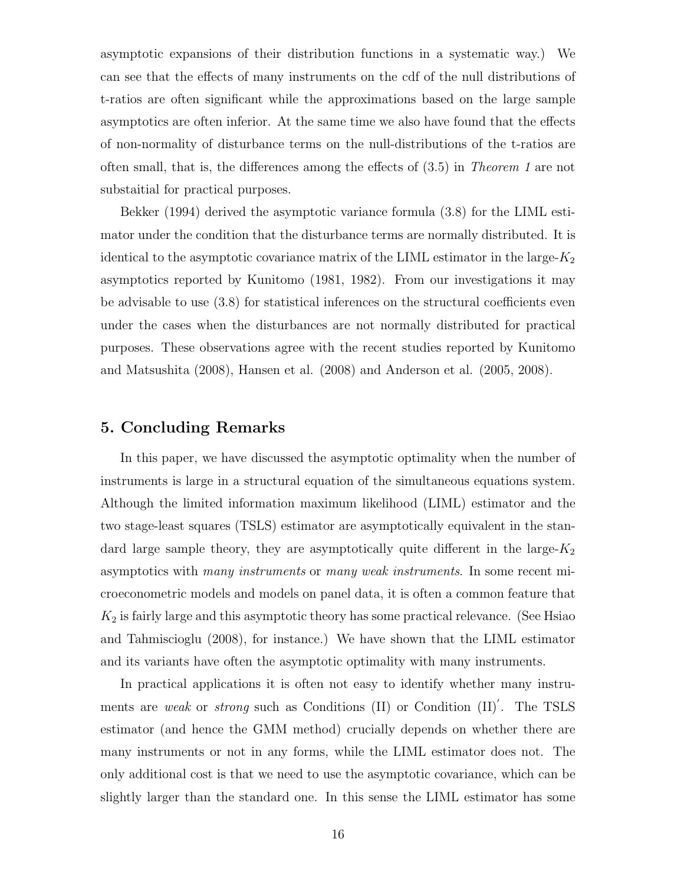asymptotic expansions of their distribution functions in a systematic way.) We can see that the effects of many instruments on the cdf of the null distributions of t-ratios are often significant while the approximations based on the large sample asymptotics are often inferior. At the same time we also have found that the effects of non-normality of disturbance terms on the null-distributions of the t-ratios are often small, that is, the differences among the effects of (3.5) in *Theorem 1* are not substaitial for practical purposes.

Bekker (1994) derived the asymptotic variance formula (3.8) for the LIML estimator under the condition that the disturbance terms are normally distributed. It is identical to the asymptotic covariance matrix of the LIML estimator in the large- $K_2$ asymptotics reported by Kunitomo (1981, 1982). From our investigations it may be advisable to use (3.8) for statistical inferences on the structural coefficients even under the cases when the disturbances are not normally distributed for practical purposes. These observations agree with the recent studies reported by Kunitomo and Matsushita (2008), Hansen et al. (2008) and Anderson et al. (2005, 2008).

### **5. Concluding Remarks**

In this paper, we have discussed the asymptotic optimality when the number of instruments is large in a structural equation of the simultaneous equations system. Although the limited information maximum likelihood (LIML) estimator and the two stage-least squares (TSLS) estimator are asymptotically equivalent in the standard large sample theory, they are asymptotically quite different in the large- $K_2$ asymptotics with *many instruments* or *many weak instruments*. In some recent microeconometric models and models on panel data, it is often a common feature that  $K_2$  is fairly large and this asymptotic theory has some practical relevance. (See Hsiao and Tahmiscioglu (2008), for instance.) We have shown that the LIML estimator and its variants have often the asymptotic optimality with many instruments.

In practical applications it is often not easy to identify whether many instruments are *weak* or *strong* such as Conditions (II) or Condition (II)'. The TSLS estimator (and hence the GMM method) crucially depends on whether there are many instruments or not in any forms, while the LIML estimator does not. The only additional cost is that we need to use the asymptotic covariance, which can be slightly larger than the standard one. In this sense the LIML estimator has some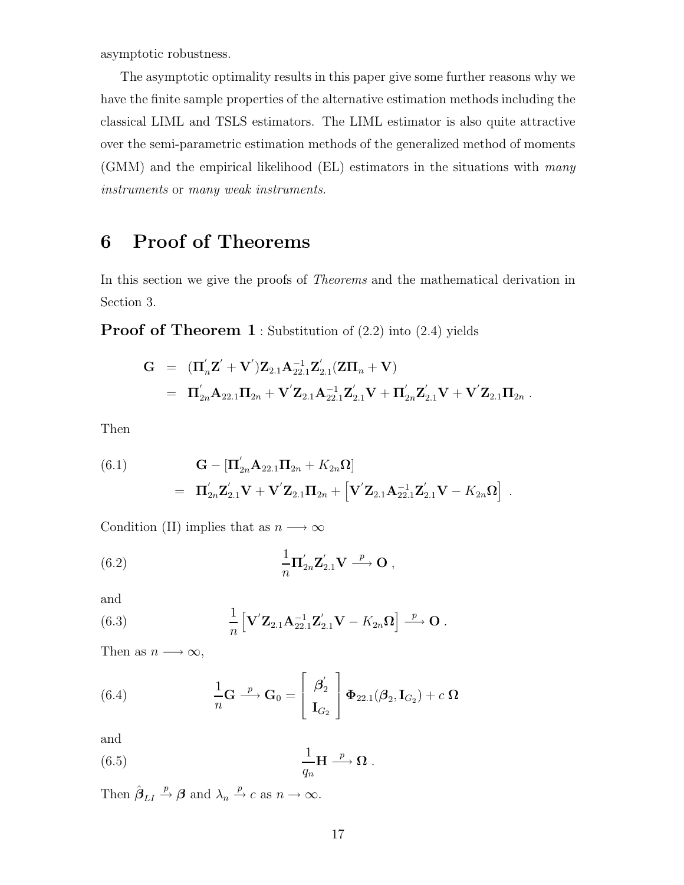asymptotic robustness.

The asymptotic optimality results in this paper give some further reasons why we have the finite sample properties of the alternative estimation methods including the classical LIML and TSLS estimators. The LIML estimator is also quite attractive over the semi-parametric estimation methods of the generalized method of moments (GMM) and the empirical likelihood (EL) estimators in the situations with *many instruments* or *many weak instruments*.

# **6 Proof of Theorems**

In this section we give the proofs of *Theorems* and the mathematical derivation in Section 3.

**Proof of Theorem 1** : Substitution of (2.2) into (2.4) yields

$$
G = (\Pi'_{n} \mathbf{Z}' + \mathbf{V}') \mathbf{Z}_{2.1} \mathbf{A}_{22.1}^{-1} \mathbf{Z}'_{2.1} (\mathbf{Z} \Pi_{n} + \mathbf{V})
$$
  
=  $\Pi'_{2n} \mathbf{A}_{22.1} \Pi_{2n} + \mathbf{V}' \mathbf{Z}_{2.1} \mathbf{A}_{22.1}^{-1} \mathbf{Z}'_{2.1} \mathbf{V} + \Pi'_{2n} \mathbf{Z}'_{2.1} \mathbf{V} + \mathbf{V}' \mathbf{Z}_{2.1} \Pi_{2n}.$ 

Then

(6.1) 
$$
\mathbf{G} - [\mathbf{\Pi}_{2n}' \mathbf{A}_{22.1} \mathbf{\Pi}_{2n} + K_{2n} \mathbf{\Omega}]
$$

$$
= \mathbf{\Pi}_{2n}' \mathbf{Z}_{2.1}' \mathbf{V} + \mathbf{V}' \mathbf{Z}_{2.1} \mathbf{\Pi}_{2n} + [\mathbf{V}' \mathbf{Z}_{2.1} \mathbf{A}_{22.1}^{-1} \mathbf{Z}_{2.1}' \mathbf{V} - K_{2n} \mathbf{\Omega}].
$$

Condition (II) implies that as  $n \longrightarrow \infty$ 

(6.2) 
$$
\frac{1}{n} \mathbf{\Pi}_{2n}' \mathbf{Z}_{2.1}' \mathbf{V} \stackrel{p}{\longrightarrow} \mathbf{O} ,
$$

and

(6.3) 
$$
\frac{1}{n} \left[ \mathbf{V}' \mathbf{Z}_{2.1} \mathbf{A}_{22.1}^{-1} \mathbf{Z}'_{2.1} \mathbf{V} - K_{2n} \mathbf{\Omega} \right] \stackrel{p}{\longrightarrow} \mathbf{O}.
$$

Then as  $n \longrightarrow \infty$ ,

(6.4) 
$$
\frac{1}{n}\mathbf{G} \stackrel{p}{\longrightarrow} \mathbf{G}_0 = \begin{bmatrix} \boldsymbol{\beta}_2' \\ \mathbf{I}_{G_2} \end{bmatrix} \boldsymbol{\Phi}_{22.1}(\boldsymbol{\beta}_2, \mathbf{I}_{G_2}) + c \boldsymbol{\Omega}
$$

and

(6.5) 
$$
\frac{1}{q_n} \mathbf{H} \xrightarrow{p} \mathbf{\Omega} .
$$

Then  $\hat{\boldsymbol{\beta}}_{LI} \stackrel{p}{\rightarrow} \boldsymbol{\beta}$  and  $\lambda_n \stackrel{p}{\rightarrow} c$  as  $n \rightarrow \infty$ .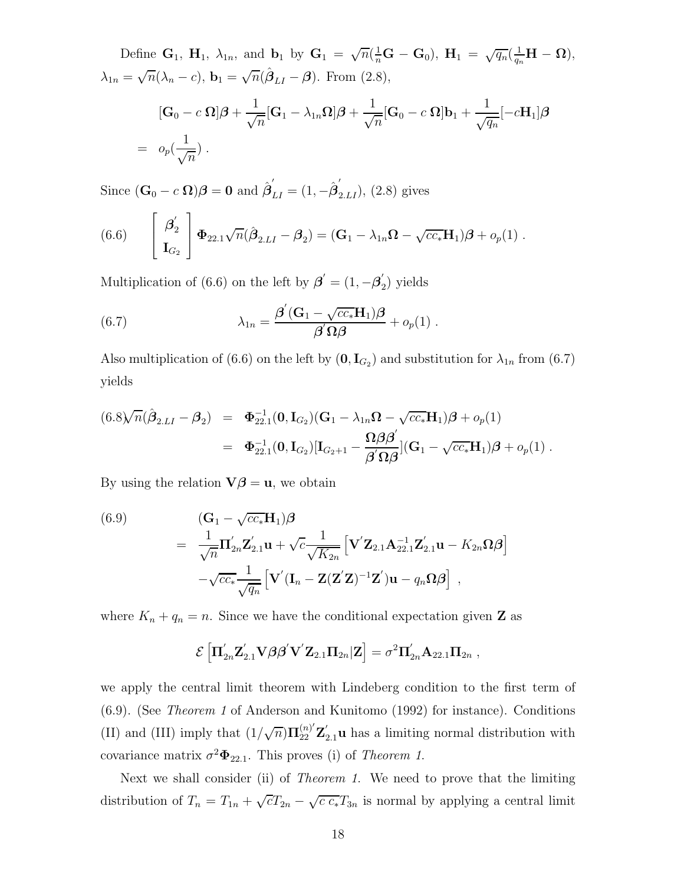Define  $\mathbf{G}_1$ ,  $\mathbf{H}_1$ ,  $\lambda_{1n}$ , and  $\mathbf{b}_1$  by  $\mathbf{G}_1 = \sqrt{n}(\frac{1}{n}\mathbf{G} - \mathbf{G}_0)$ ,  $\mathbf{H}_1 = \sqrt{q_n}(\frac{1}{q_n}\mathbf{H} - \mathbf{\Omega})$ ,  $\lambda_{1n} = \sqrt{n}(\lambda_n - c)$ ,  $\mathbf{b}_1 = \sqrt{n}(\hat{\boldsymbol{\beta}}_{LI} - \boldsymbol{\beta})$ . From (2.8),

$$
[\mathbf{G}_0 - c \,\Omega]\boldsymbol{\beta} + \frac{1}{\sqrt{n}}[\mathbf{G}_1 - \lambda_{1n}\Omega]\boldsymbol{\beta} + \frac{1}{\sqrt{n}}[\mathbf{G}_0 - c \,\Omega]\mathbf{b}_1 + \frac{1}{\sqrt{q_n}}[-c\mathbf{H}_1]\boldsymbol{\beta}
$$
  
=  $o_p(\frac{1}{\sqrt{n}})$ .

Since  $(\mathbf{G}_0 - c \mathbf{\Omega})\boldsymbol{\beta} = \mathbf{0}$  and  $\hat{\boldsymbol{\beta}}'_{LI} = (1, -\hat{\boldsymbol{\beta}}'_{2.L})$ , (2.8) gives

(6.6) 
$$
\begin{bmatrix} \beta_2' \\ \mathbf{I}_{G_2} \end{bmatrix} \Phi_{22.1} \sqrt{n} (\hat{\boldsymbol{\beta}}_{2.LI} - \boldsymbol{\beta}_2) = (\mathbf{G}_1 - \lambda_{1n} \boldsymbol{\Omega} - \sqrt{cc_*} \mathbf{H}_1) \boldsymbol{\beta} + o_p(1) .
$$

Multiplication of (6.6) on the left by  $\boldsymbol{\beta}' = (1, -\boldsymbol{\beta}'_2)$  yields

(6.7) 
$$
\lambda_{1n} = \frac{\beta'(\mathbf{G}_1 - \sqrt{cc_*}\mathbf{H}_1)\boldsymbol{\beta}}{\beta'\Omega\boldsymbol{\beta}} + o_p(1) .
$$

Also multiplication of (6.6) on the left by  $(0, I_{G_2})$  and substitution for  $\lambda_{1n}$  from (6.7) yields

$$
(6.8)\sqrt{n}(\hat{\beta}_{2.LI} - \beta_2) = \Phi_{22.1}^{-1}(0, \mathbf{I}_{G_2}) (\mathbf{G}_1 - \lambda_{1n}\Omega - \sqrt{cc_*}\mathbf{H}_1)\beta + o_p(1)
$$
  
=  $\Phi_{22.1}^{-1}(0, \mathbf{I}_{G_2}) [\mathbf{I}_{G_2+1} - \frac{\Omega\beta\beta'}{\beta'\Omega\beta}](\mathbf{G}_1 - \sqrt{cc_*}\mathbf{H}_1)\beta + o_p(1).$ 

By using the relation  $\mathbf{V}\boldsymbol{\beta} = \mathbf{u}$ , we obtain

(6.9)  
\n
$$
= \frac{1}{\sqrt{n}} \mathbf{I}_{2n}' \mathbf{Z}_{2.1}' \mathbf{u} + \sqrt{c} \frac{1}{\sqrt{K_{2n}}} \left[ \mathbf{V}' \mathbf{Z}_{2.1} \mathbf{A}_{22.1}^{-1} \mathbf{Z}_{2.1}' \mathbf{u} - K_{2n} \Omega \boldsymbol{\beta} \right]
$$
\n
$$
- \sqrt{cc_*} \frac{1}{\sqrt{q_n}} \left[ \mathbf{V}' (\mathbf{I}_n - \mathbf{Z} (\mathbf{Z}' \mathbf{Z})^{-1} \mathbf{Z}') \mathbf{u} - q_n \Omega \boldsymbol{\beta} \right],
$$

where  $K_n + q_n = n$ . Since we have the conditional expectation given **Z** as

$$
\mathcal{E}\left[\Pi_{2n}^{\prime}\mathbf{Z}_{2.1}^{\prime}\mathbf{V}\boldsymbol{\beta}\boldsymbol{\beta}^{\prime}\mathbf{V}^{\prime}\mathbf{Z}_{2.1}\Pi_{2n}|\mathbf{Z}\right]=\sigma^2\Pi_{2n}^{\prime}\mathbf{A}_{22.1}\Pi_{2n},
$$

we apply the central limit theorem with Lindeberg condition to the first term of (6.9). (See *Theorem 1* of Anderson and Kunitomo (1992) for instance). Conditions (II) and (III) imply that  $\left(1/\sqrt{n}\right)\Pi_{22}^{(n)}$  $\mathbf{Z}_{22}^{\left(n\right)}\mathbf{Z}_{2.1}^{\prime}\mathbf{u}$  has a limiting normal distribution with covariance matrix  $\sigma^2 \Phi_{22.1}$ . This proves (i) of *Theorem 1*.

Next we shall consider (ii) of *Theorem 1*. We need to prove that the limiting distribution of  $T_n = T_{1n} + \sqrt{c}T_{2n} - \sqrt{c c_*}T_{3n}$  is normal by applying a central limit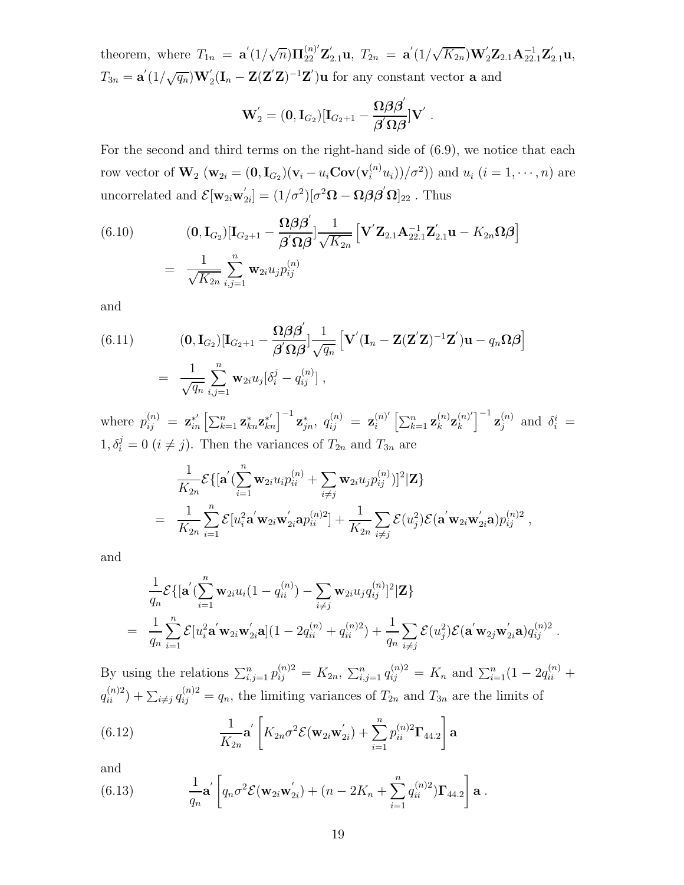theorem, where  $T_{1n} = \mathbf{a}'(1/\sqrt{n})\mathbf{\Pi}_{22}^{(n)'}$  $\mathbf{z}_{22}^{(n)'}\mathbf{Z}_{2.1}'\mathbf{u}, T_{2n} = \mathbf{a}'(1/\sqrt{K_{2n}})\mathbf{W}'_{2n}$  $\mathbf{Z}_2' \mathbf{Z}_{2.1} \mathbf{A}_{22.1}^{-1} \mathbf{Z}_{2.1}' \mathbf{u},$  $T_{3n}=\mathbf{a}^{'}(1/\sqrt{q_{n}})\mathbf{W}^{'}_{2}$  $\mathbf{Z}_2'(\mathbf{I}_n - \mathbf{Z}(\mathbf{Z}'\mathbf{Z})^{-1}\mathbf{Z}')\mathbf{u}$  for any constant vector **a** and

$$
\mathbf{W}^{'}_2=(\mathbf{0},\mathbf{I}_{G_2})[\mathbf{I}_{G_2+1}-\frac{\mathbf{\Omega}\boldsymbol{\beta}\boldsymbol{\beta}^{'}}{\boldsymbol{\beta}^{'}\boldsymbol{\Omega}\boldsymbol{\beta}}]\mathbf{V}^{'}\;.
$$

For the second and third terms on the right-hand side of (6.9), we notice that each row vector of  $W_2$  ( $w_{2i} = (0, I_{G_2})(v_i - u_i \text{Cov}(v_i^{(n)} u_i))/\sigma^2)$ ) and  $u_i$  ( $i = 1, \dots, n$ ) are uncorrelated and  $\mathcal{E}[\mathbf{w}_{2i}\mathbf{w}_{2i}'] = (1/\sigma^2)[\sigma^2\mathbf{\Omega} - \mathbf{\Omega}\boldsymbol{\beta}\boldsymbol{\beta}'\mathbf{\Omega}]_{22}$ . Thus

(6.10) 
$$
\begin{aligned} \text{(6.10)} \qquad & (\mathbf{0}, \mathbf{I}_{G_2})[\mathbf{I}_{G_2+1} - \frac{\mathbf{\Omega}\boldsymbol{\beta}\boldsymbol{\beta}'}{\boldsymbol{\beta}'\mathbf{\Omega}\boldsymbol{\beta}}] \frac{1}{\sqrt{K_{2n}}} \left[ \mathbf{V}'\mathbf{Z}_{2.1}\mathbf{A}_{22.1}^{-1}\mathbf{Z}_{2.1}'\mathbf{u} - K_{2n}\mathbf{\Omega}\boldsymbol{\beta} \right] \\ &= \frac{1}{\sqrt{K_{2n}}} \sum_{i,j=1}^n \mathbf{w}_{2i} u_j p_{ij}^{(n)} \end{aligned}
$$

and

(6.11) 
$$
\begin{aligned} \text{(0, I}_{G_2})[\mathbf{I}_{G_2+1}-\frac{\mathbf{\Omega}\boldsymbol{\beta}\boldsymbol{\beta}'}{\boldsymbol{\beta}'\mathbf{\Omega}\boldsymbol{\beta}}]\frac{1}{\sqrt{q_n}}\left[\mathbf{V}'(\mathbf{I}_n-\mathbf{Z}(\mathbf{Z}'\mathbf{Z})^{-1}\mathbf{Z}')\mathbf{u}-q_n\mathbf{\Omega}\boldsymbol{\beta}\right] \\ = \frac{1}{\sqrt{q_n}}\sum_{i,j=1}^n \mathbf{w}_{2i}u_j[\delta_i^j-q_{ij}^{(n)}], \end{aligned}
$$

where  $p_{ij}^{(n)} = \mathbf{z}_{in}^{*'} \left[ \sum_{k=1}^{n} \mathbf{z}_{kn}^{*} \mathbf{z}_{kn}^{*'} \right]^{-1} \mathbf{z}_{jn}^{*}, q_{ij}^{(n)} = \mathbf{z}_{i}^{(n)'} \left[ \sum_{k=1}^{n} \mathbf{z}_{k}^{(n)} \mathbf{z}_{k}^{(n)'} \right]^{-1} \mathbf{z}_{j}^{(n)}$  and  $\delta_{i}^{i} =$  $1, \delta_i^j = 0$   $(i \neq j)$ . Then the variances of  $T_{2n}$  and  $T_{3n}$  are

$$
\frac{1}{K_{2n}} \mathcal{E}\{[\mathbf{a}'(\sum_{i=1}^n \mathbf{w}_{2i} u_i p_{ii}^{(n)} + \sum_{i \neq j} \mathbf{w}_{2i} u_j p_{ij}^{(n)})]^2 | \mathbf{Z}\}\
$$
\n
$$
= \frac{1}{K_{2n}} \sum_{i=1}^n \mathcal{E}[u_i^2 \mathbf{a}' \mathbf{w}_{2i} \mathbf{w}_{2i}' \mathbf{a} p_{ii}^{(n)}] + \frac{1}{K_{2n}} \sum_{i \neq j} \mathcal{E}(u_j^2) \mathcal{E}(\mathbf{a}' \mathbf{w}_{2i} \mathbf{w}_{2i}' \mathbf{a}) p_{ij}^{(n)2} ,
$$

and

$$
\frac{1}{q_n} \mathcal{E}\{[\mathbf{a}'(\sum_{i=1}^n \mathbf{w}_{2i} u_i(1-q_{ii}^{(n)}) - \sum_{i \neq j} \mathbf{w}_{2i} u_j q_{ij}^{(n)}]^2 | \mathbf{Z}\}\n= \frac{1}{q_n} \sum_{i=1}^n \mathcal{E}[u_i^2 \mathbf{a}' \mathbf{w}_{2i} \mathbf{w}'_{2i} \mathbf{a}](1-2q_{ii}^{(n)} + q_{ii}^{(n)2}) + \frac{1}{q_n} \sum_{i \neq j} \mathcal{E}(u_j^2) \mathcal{E}(\mathbf{a}' \mathbf{w}_{2j} \mathbf{w}'_{2i} \mathbf{a}) q_{ij}^{(n)2}.
$$

By using the relations  $\sum_{i,j=1}^n p_{ij}^{(n)2} = K_{2n}, \sum_{i,j=1}^n q_{ij}^{(n)2} = K_n$  and  $\sum_{i=1}^n (1 - 2q_{ii}^{(n)} +$  $q_{ii}^{(n)2}$  +  $\sum_{i \neq j} q_{ij}^{(n)2} = q_n$ , the limiting variances of  $T_{2n}$  and  $T_{3n}$  are the limits of

(6.12) 
$$
\frac{1}{K_{2n}} \mathbf{a}' \left[ K_{2n} \sigma^2 \mathcal{E}(\mathbf{w}_{2i} \mathbf{w}_{2i}') + \sum_{i=1}^n p_{ii}^{(n)2} \mathbf{\Gamma}_{44.2} \right] \mathbf{a}
$$

and

(6.13) 
$$
\frac{1}{q_n} \mathbf{a}' \left[ q_n \sigma^2 \mathcal{E}(\mathbf{w}_{2i} \mathbf{w}'_{2i}) + (n - 2K_n + \sum_{i=1}^n q_{ii}^{(n)2}) \mathbf{\Gamma}_{44.2} \right] \mathbf{a}.
$$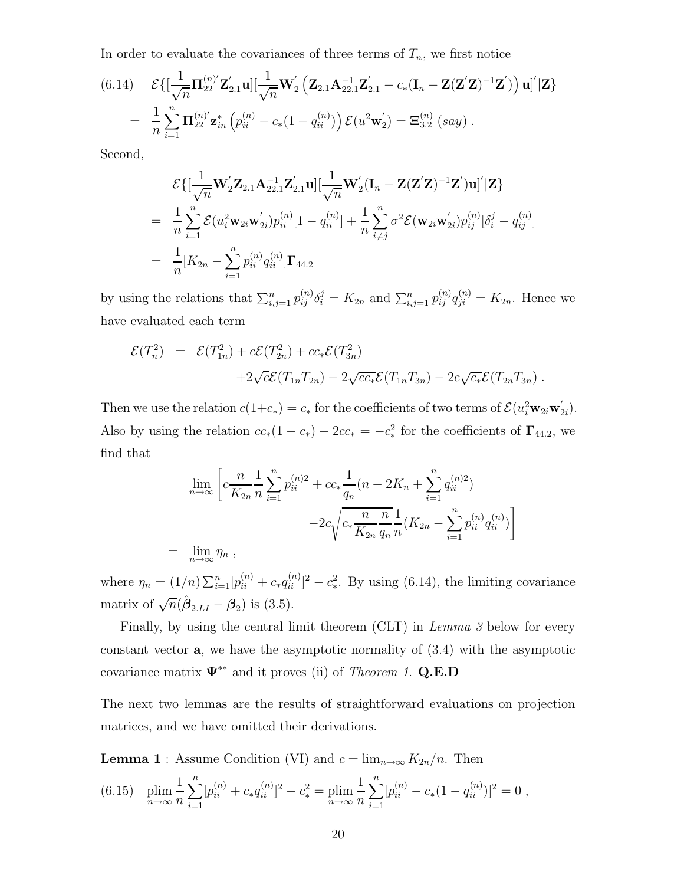In order to evaluate the covariances of three terms of  $T_n$ , we first notice

(6.14) 
$$
\mathcal{E}\{[\frac{1}{\sqrt{n}}\mathbf{\Pi}_{22}^{(n)'}\mathbf{Z}_{2.1}']\mathbf{u}][\frac{1}{\sqrt{n}}\mathbf{W}_{2}'\left(\mathbf{Z}_{2.1}\mathbf{A}_{22.1}^{-1}\mathbf{Z}_{2.1}' - c_{*}(\mathbf{I}_{n} - \mathbf{Z}(\mathbf{Z}'\mathbf{Z})^{-1}\mathbf{Z}')\right)\mathbf{u}']|\mathbf{Z}\}
$$

$$
= \frac{1}{n}\sum_{i=1}^{n}\mathbf{\Pi}_{22}^{(n)'}\mathbf{z}_{in}^{*}\left(p_{ii}^{(n)} - c_{*}(1 - q_{ii}^{(n)})\right)\mathcal{E}(u^{2}\mathbf{w}_{2}') = \mathbf{\Xi}_{3.2}^{(n)}(say).
$$

Second,

$$
\mathcal{E}\{[\frac{1}{\sqrt{n}}\mathbf{W}_{2}'\mathbf{Z}_{2.1}\mathbf{A}_{22.1}^{-1}\mathbf{Z}_{2.1}'\mathbf{u}][\frac{1}{\sqrt{n}}\mathbf{W}_{2}'(\mathbf{I}_{n}-\mathbf{Z}(\mathbf{Z}'\mathbf{Z})^{-1}\mathbf{Z}')\mathbf{u}]'|\mathbf{Z}\}
$$
\n
$$
= \frac{1}{n}\sum_{i=1}^{n}\mathcal{E}(u_{i}^{2}\mathbf{w}_{2i}\mathbf{w}_{2i}')p_{ii}^{(n)}[1-q_{ii}^{(n)}] + \frac{1}{n}\sum_{i\neq j}^{n}\sigma^{2}\mathcal{E}(\mathbf{w}_{2i}\mathbf{w}_{2i}')p_{ij}^{(n)}[\delta_{i}^{j}-q_{ij}^{(n)}]
$$
\n
$$
= \frac{1}{n}[K_{2n}-\sum_{i=1}^{n}p_{ii}^{(n)}q_{ii}^{(n)}]\mathbf{\Gamma}_{44.2}
$$

by using the relations that  $\sum_{i,j=1}^n p_{ij}^{(n)} \delta_i^j = K_{2n}$  and  $\sum_{i,j=1}^n p_{ij}^{(n)} q_{ji}^{(n)} = K_{2n}$ . Hence we have evaluated each term

$$
\mathcal{E}(T_n^2) = \mathcal{E}(T_{1n}^2) + c\mathcal{E}(T_{2n}^2) + cc_*\mathcal{E}(T_{3n}^2)
$$
  
+2\sqrt{c}\mathcal{E}(T\_{1n}T\_{2n}) - 2\sqrt{cc\_\*}\mathcal{E}(T\_{1n}T\_{3n}) - 2c\sqrt{c\_\*}\mathcal{E}(T\_{2n}T\_{3n}).

Then we use the relation  $c(1+c_*)=c_*$  for the coefficients of two terms of  $\mathcal{E}(u_i^2 \mathbf{w}_{2i} \mathbf{w}'_{2i})$ . Also by using the relation  $cc_*(1 - c_*) - 2cc_* = -c_*^2$  for the coefficients of  $\Gamma_{44,2}$ , we find that

$$
\lim_{n \to \infty} \left[ c \frac{n}{K_{2n}} \frac{1}{n} \sum_{i=1}^{n} p_{ii}^{(n)} + cc_* \frac{1}{q_n} (n - 2K_n + \sum_{i=1}^{n} q_{ii}^{(n)} ) - 2c \sqrt{c_* \frac{n}{K_{2n}} \frac{n}{q_n}} \frac{1}{n} (K_{2n} - \sum_{i=1}^{n} p_{ii}^{(n)} q_{ii}^{(n)}) \right]
$$
\n
$$
= \lim_{n \to \infty} \eta_n ,
$$

where  $\eta_n = (1/n) \sum_{i=1}^n [p_{ii}^{(n)} + c_* q_{ii}^{(n)}]^2 - c_*^2$ . By using (6.14), the limiting covariance matrix of  $\sqrt{n}(\hat{\boldsymbol{\beta}}_{2,LI} - \boldsymbol{\beta}_2)$  is (3.5).

Finally, by using the central limit theorem (CLT) in *Lemma 3* below for every constant vector **a**, we have the asymptotic normality of (3.4) with the asymptotic covariance matrix **Ψ**∗∗ and it proves (ii) of *Theorem 1*. **Q.E.D**

The next two lemmas are the results of straightforward evaluations on projection matrices, and we have omitted their derivations.

**Lemma 1** : Assume Condition (VI) and  $c = \lim_{n \to \infty} K_{2n}/n$ . Then

$$
(6.15) \quad \lim_{n \to \infty} \frac{1}{n} \sum_{i=1}^{n} [p_{ii}^{(n)} + c_* q_{ii}^{(n)}]^2 - c_*^2 = \lim_{n \to \infty} \frac{1}{n} \sum_{i=1}^{n} [p_{ii}^{(n)} - c_* (1 - q_{ii}^{(n)})]^2 = 0,
$$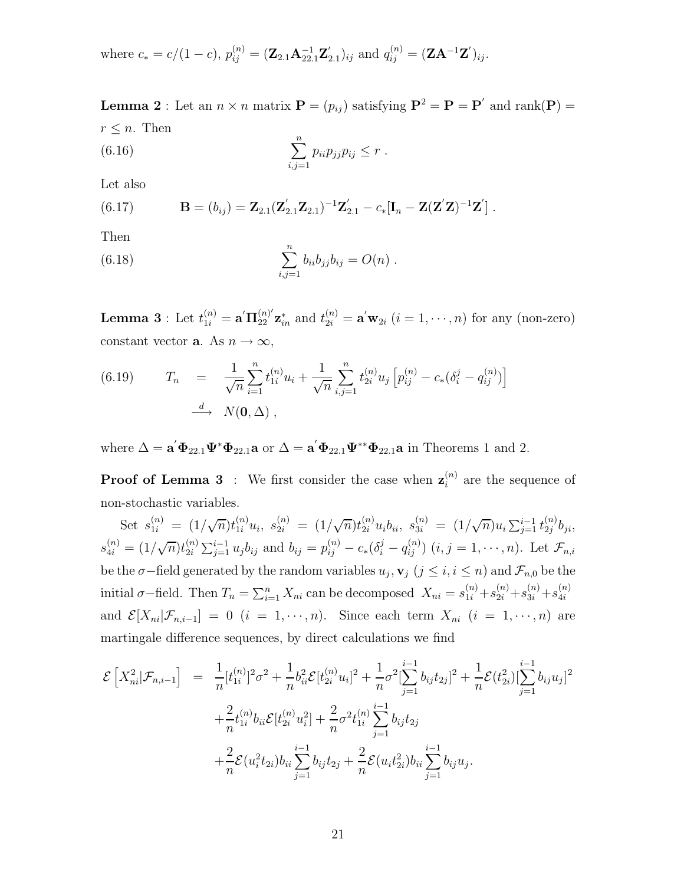where 
$$
c_* = c/(1 - c)
$$
,  $p_{ij}^{(n)} = (\mathbf{Z}_{2.1} \mathbf{A}_{22.1}^{-1} \mathbf{Z}_{2.1}')_{ij}$  and  $q_{ij}^{(n)} = (\mathbf{Z} \mathbf{A}^{-1} \mathbf{Z}')_{ij}$ .

**Lemma 2** : Let an  $n \times n$  matrix  $P = (p_{ij})$  satisfying  $P^2 = P = P'$  and rank(P) =  $r \leq n$ . Then n

(6.16) 
$$
\sum_{i,j=1}^{n} p_{ii} p_{jj} p_{ij} \leq r.
$$

Let also

(6.17) 
$$
\mathbf{B} = (b_{ij}) = \mathbf{Z}_{2.1}(\mathbf{Z}_{2.1}'\mathbf{Z}_{2.1})^{-1}\mathbf{Z}_{2.1}' - c_*[\mathbf{I}_n - \mathbf{Z}(\mathbf{Z}'\mathbf{Z})^{-1}\mathbf{Z}'].
$$

Then

(6.18) 
$$
\sum_{i,j=1}^{n} b_{ii}b_{jj}b_{ij} = O(n) .
$$

**Lemma 3** : Let  $t_{1i}^{(n)} = \mathbf{a}' \mathbf{\Pi}_{22}^{(n)'} \mathbf{z}_{in}^*$  and  $t_{2i}^{(n)} = \mathbf{a}' \mathbf{w}_{2i}$   $(i = 1, \dots, n)$  for any (non-zero) constant vector **a**. As  $n \to \infty$ ,

(6.19) 
$$
T_n = \frac{1}{\sqrt{n}} \sum_{i=1}^n t_{1i}^{(n)} u_i + \frac{1}{\sqrt{n}} \sum_{i,j=1}^n t_{2i}^{(n)} u_j \left[ p_{ij}^{(n)} - c_*(\delta_i^j - q_{ij}^{(n)}) \right]
$$

$$
\xrightarrow{d} N(0, \Delta) ,
$$

where  $\Delta = \mathbf{a}' \mathbf{\Phi}_{22.1} \mathbf{\Psi}^* \mathbf{\Phi}_{22.1} \mathbf{a}$  or  $\Delta = \mathbf{a}' \mathbf{\Phi}_{22.1} \mathbf{\Psi}^{**} \mathbf{\Phi}_{22.1} \mathbf{a}$  in Theorems 1 and 2.

**Proof of Lemma 3** : We first consider the case when  $z_i^{(n)}$  are the sequence of non-stochastic variables.

Set  $s_{1i}^{(n)} = (1/\sqrt{n})t_{1i}^{(n)}u_i$ ,  $s_{2i}^{(n)} = (1/\sqrt{n})t_{2i}^{(n)}u_ib_i$ ,  $s_{3i}^{(n)} = (1/\sqrt{n})u_i\sum_{j=1}^{i-1}t_{2j}^{(n)}b_{ji}$ ,  $s_{4i}^{(n)} = (1/\sqrt{n})t_{2i}^{(n)}$  $\sum_{i=1}^{(n)} \sum_{j=1}^{i-1} u_j b_{ij}$  and  $b_{ij} = p_{ij}^{(n)} - c_*(\delta_i^j - q_{ij}^{(n)})$   $(i, j = 1, \dots, n)$ . Let  $\mathcal{F}_{n,i}$ be the  $\sigma$ −field generated by the random variables  $u_j$ ,  $\mathbf{v}_j$  ( $j \leq i, i \leq n$ ) and  $\mathcal{F}_{n,0}$  be the initial  $\sigma$ -field. Then  $T_n = \sum_{i=1}^n X_{ni}$  can be decomposed  $X_{ni} = s_{1i}^{(n)} + s_{2i}^{(n)} + s_{3i}^{(n)} + s_{4i}^{(n)}$ 4i and  $\mathcal{E}[X_{ni}|\mathcal{F}_{n,i-1}]=0$   $(i = 1, \cdots, n)$ . Since each term  $X_{ni}$   $(i = 1, \cdots, n)$  are martingale difference sequences, by direct calculations we find

$$
\mathcal{E}\left[X_{ni}^{2}|\mathcal{F}_{n,i-1}\right] = \frac{1}{n}[t_{1i}^{(n)}]^{2}\sigma^{2} + \frac{1}{n}b_{ii}^{2}\mathcal{E}[t_{2i}^{(n)}u_{i}]^{2} + \frac{1}{n}\sigma^{2}[\sum_{j=1}^{i-1}b_{ij}t_{2j}]^{2} + \frac{1}{n}\mathcal{E}(t_{2i}^{2})[\sum_{j=1}^{i-1}b_{ij}u_{j}]^{2} + \frac{2}{n}t_{1i}^{(n)}b_{ii}\mathcal{E}[t_{2i}^{(n)}u_{i}^{2}] + \frac{2}{n}\sigma^{2}t_{1i}^{(n)}\sum_{j=1}^{i-1}b_{ij}t_{2j} + \frac{2}{n}\mathcal{E}(u_{i}^{2}t_{2i})b_{ii}\sum_{j=1}^{i-1}b_{ij}u_{j}.
$$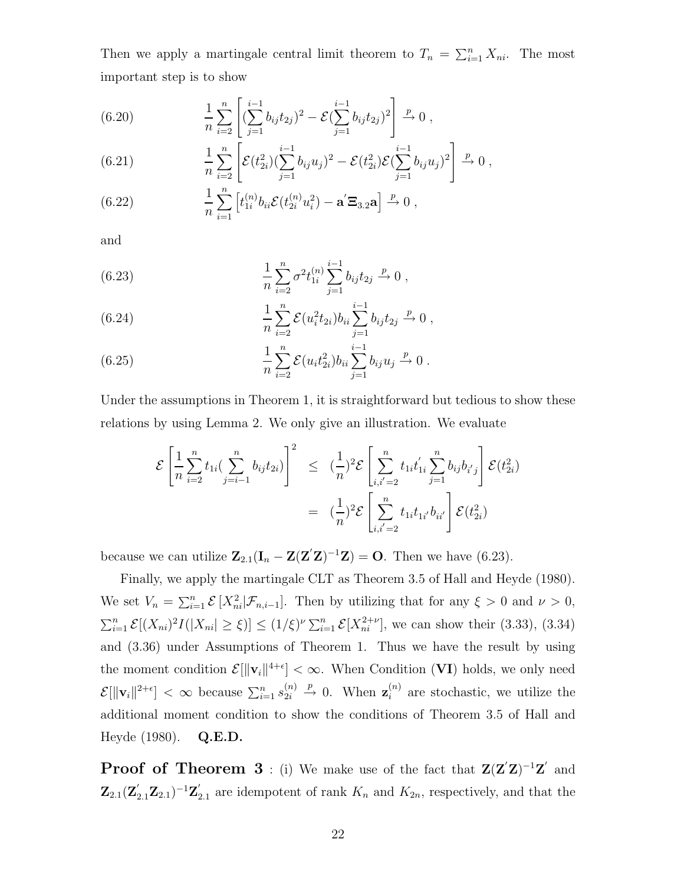Then we apply a martingale central limit theorem to  $T_n = \sum_{i=1}^n X_{ni}$ . The most important step is to show

(6.20) 
$$
\frac{1}{n}\sum_{i=2}^{n}\left[\left(\sum_{j=1}^{i-1}b_{ij}t_{2j}\right)^{2}-\mathcal{E}\left(\sum_{j=1}^{i-1}b_{ij}t_{2j}\right)^{2}\right]\xrightarrow{p} 0,
$$

(6.21) 
$$
\frac{1}{n}\sum_{i=2}^{n}\left[\mathcal{E}(t_{2i}^2)(\sum_{j=1}^{i-1}b_{ij}u_j)^2-\mathcal{E}(t_{2i}^2)\mathcal{E}(\sum_{j=1}^{i-1}b_{ij}u_j)^2\right] \xrightarrow{p} 0,
$$

(6.22) 
$$
\frac{1}{n}\sum_{i=1}^{n} \left[t_{1i}^{(n)}b_{ii}\mathcal{E}(t_{2i}^{(n)}u_i^2) - \mathbf{a}'\mathbf{\Xi}_{3,2}\mathbf{a}\right] \stackrel{p}{\to} 0,
$$

and

(6.23) 
$$
\frac{1}{n} \sum_{i=2}^{n} \sigma^2 t_{1i}^{(n)} \sum_{j=1}^{i-1} b_{ij} t_{2j} \xrightarrow{p} 0 ,
$$

(6.24) 
$$
\frac{1}{n}\sum_{i=2}^{n} \mathcal{E}(u_i^2 t_{2i}) b_{ii} \sum_{j=1}^{i-1} b_{ij} t_{2j} \stackrel{p}{\to} 0,
$$

(6.25) 
$$
\frac{1}{n} \sum_{i=2}^{n} \mathcal{E}(u_i t_{2i}^2) b_{ii} \sum_{j=1}^{i-1} b_{ij} u_j \xrightarrow{p} 0.
$$

Under the assumptions in Theorem 1, it is straightforward but tedious to show these relations by using Lemma 2. We only give an illustration. We evaluate

$$
\mathcal{E}\left[\frac{1}{n}\sum_{i=2}^{n}t_{1i}\left(\sum_{j=i-1}^{n}b_{ij}t_{2i}\right)\right]^2 \leq \left(\frac{1}{n}\right)^2 \mathcal{E}\left[\sum_{i,i'=2}^{n}t_{1i}t'_{1i}\sum_{j=1}^{n}b_{ij}b_{i'j}\right] \mathcal{E}(t_{2i}^2)
$$

$$
= \left(\frac{1}{n}\right)^2 \mathcal{E}\left[\sum_{i,i'=2}^{n}t_{1i}t_{1i'}b_{ii'}\right] \mathcal{E}(t_{2i}^2)
$$

because we can utilize  $\mathbf{Z}_{2.1}(\mathbf{I}_n - \mathbf{Z}(\mathbf{Z}'\mathbf{Z})^{-1}\mathbf{Z}) = \mathbf{O}$ . Then we have (6.23).

Finally, we apply the martingale CLT as Theorem 3.5 of Hall and Heyde (1980). We set  $V_n = \sum_{i=1}^n \mathcal{E}[X_{ni}^2 | \mathcal{F}_{n,i-1}]$ . Then by utilizing that for any  $\xi > 0$  and  $\nu > 0$ ,  $\sum_{i=1}^n \mathcal{E}[(X_{ni})^2 I(|X_{ni}| \geq \xi)] \leq (1/\xi)^{\nu} \sum_{i=1}^n \mathcal{E}[X_{ni}^{2+\nu}]$ , we can show their (3.33), (3.34) and (3.36) under Assumptions of Theorem 1. Thus we have the result by using the moment condition  $\mathcal{E}[\Vert \mathbf{v}_i \Vert^{4+\epsilon}] < \infty$ . When Condition (VI) holds, we only need  $\mathcal{E}[\Vert \mathbf{v}_i \Vert^{2+\epsilon}] < \infty$  because  $\sum_{i=1}^n s_{2i}^{(n)}$  $2i$  $\stackrel{p}{\rightarrow}$  0. When  $\mathbf{z}_i^{(n)}$  are stochastic, we utilize the additional moment condition to show the conditions of Theorem 3.5 of Hall and Heyde (1980). **Q.E.D.**

**Proof of Theorem 3** : (i) We make use of the fact that  $\mathbf{Z}(\mathbf{Z}'\mathbf{Z})^{-1}\mathbf{Z}'$  and  $\mathbf{Z}_{2,1}(\mathbf{Z}_{2,1}^{\prime}\mathbf{Z}_{2,1})^{-1}\mathbf{Z}_{2,1}^{\prime}$  are idempotent of rank  $K_n$  and  $K_{2n}$ , respectively, and that the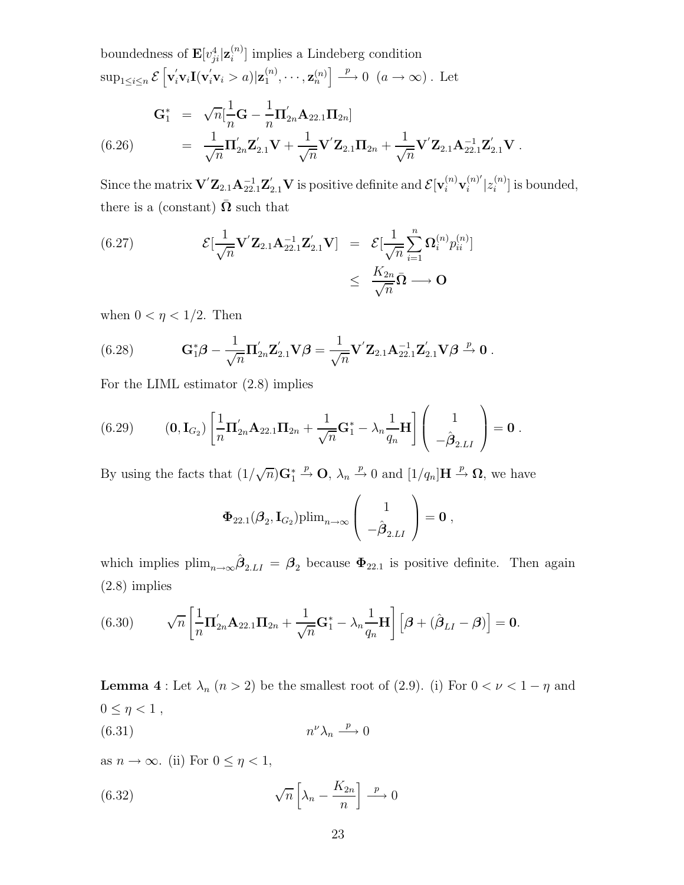boundedness of  $\mathbf{E}[v_{ji}^4|\mathbf{z}_i^{(n)}]$  implies a Lindeberg condition  $\sup_{1 \leq i \leq n} \mathcal{E}\left[\mathbf{v}_i' \mathbf{v}_i \mathbf{I}(\mathbf{v}_i' \mathbf{v}_i > a) | \mathbf{z}_1^{(n)}, \cdots, \mathbf{z}_n^{(n)}\right] \stackrel{p}{\longrightarrow} 0 \ \ (a \to \infty)$ . Let  $G_1^* = \sqrt{n} \left[ \frac{1}{n} \right]$  $\frac{1}{n}$ **G** –  $\frac{1}{n}$  $\Pi_{2n}^{'}\mathbf{A}_{22.1}\Pi_{2n}]$  $= \frac{1}{2}$  $\frac{1}{\sqrt{n}}\mathbf{\Pi}_{2n}^{'}\mathbf{Z}_{2.1}^{'}\mathbf{V}+\frac{1}{\sqrt{n}}$  $\frac{1}{\sqrt{n}}\mathbf{V}'\mathbf{Z}_{2.1}\mathbf{\Pi}_{2n} + \frac{1}{\sqrt{n}}$ (6.26)  $= \frac{1}{\sqrt{n}} \Pi'_{2n} \mathbf{Z}'_{2.1} \mathbf{V} + \frac{1}{\sqrt{n}} \mathbf{V}' \mathbf{Z}_{2.1} \Pi_{2n} + \frac{1}{\sqrt{n}} \mathbf{V}' \mathbf{Z}_{2.1} \mathbf{A}_{22.1}^{-1} \mathbf{Z}'_{2.1} \mathbf{V} .$ 

Since the matrix  $\mathbf{V}'\mathbf{Z}_{2.1}\mathbf{A}_{22.1}^{-1}\mathbf{Z}_{2.1}'\mathbf{V}$  is positive definite and  $\mathcal{E}[\mathbf{v}_i^{(n)}\mathbf{v}_i^{(n)'}|z_i^{(n)}]$  is bounded, there is a (constant)  $\Omega$  such that

(6.27) 
$$
\mathcal{E}[\frac{1}{\sqrt{n}}\mathbf{V}'\mathbf{Z}_{2.1}\mathbf{A}_{22.1}^{-1}\mathbf{Z}'_{2.1}\mathbf{V}] = \mathcal{E}[\frac{1}{\sqrt{n}}\sum_{i=1}^{n}\mathbf{\Omega}_{i}^{(n)}p_{ii}^{(n)}] \leq \frac{K_{2n}}{\sqrt{n}}\bar{\mathbf{\Omega}} \longrightarrow \mathbf{O}
$$

when  $0 < \eta < 1/2$ . Then

(6.28) 
$$
\mathbf{G}_{1}^{*}\boldsymbol{\beta} - \frac{1}{\sqrt{n}} \mathbf{\Pi}_{2n}' \mathbf{Z}_{2.1}' \mathbf{V} \boldsymbol{\beta} = \frac{1}{\sqrt{n}} \mathbf{V}' \mathbf{Z}_{2.1} \mathbf{A}_{22.1}^{-1} \mathbf{Z}_{2.1}' \mathbf{V} \boldsymbol{\beta} \xrightarrow{p} \mathbf{0}.
$$

For the LIML estimator (2.8) implies

(6.29) 
$$
(0, I_{G_2}) \left[ \frac{1}{n} \Pi'_{2n} A_{22.1} \Pi_{2n} + \frac{1}{\sqrt{n}} G_1^* - \lambda_n \frac{1}{q_n} H \right] \begin{pmatrix} 1 \\ -\hat{\boldsymbol{\beta}}_{2.LI} \end{pmatrix} = 0.
$$

By using the facts that  $(1/\sqrt{n})\mathbf{G}_1^*$  $\stackrel{p}{\to}$  **O**,  $\lambda_n \stackrel{p}{\to} 0$  and  $[1/q_n]$ **H**  $\stackrel{p}{\to} \Omega$ , we have

$$
\Phi_{22.1}(\boldsymbol{\beta}_2, \mathbf{I}_{G_2}) \text{plim}_{n \to \infty} \left( \begin{array}{c} 1 \\ -\hat{\boldsymbol{\beta}}_{2.LI} \end{array} \right) = \mathbf{0} ,
$$

which implies  $\text{plim}_{n\to\infty}\hat{\beta}_{2,LI} = \beta_2$  because  $\Phi_{22,1}$  is positive definite. Then again (2.8) implies

(6.30) 
$$
\sqrt{n}\left[\frac{1}{n}\Pi'_{2n}\mathbf{A}_{22.1}\Pi_{2n}+\frac{1}{\sqrt{n}}\mathbf{G}_1^*-\lambda_n\frac{1}{q_n}\mathbf{H}\right]\left[\boldsymbol{\beta}+(\hat{\boldsymbol{\beta}}_{LI}-\boldsymbol{\beta})\right]=\mathbf{0}.
$$

**Lemma 4** : Let  $\lambda_n$  ( $n > 2$ ) be the smallest root of (2.9). (i) For  $0 < \nu < 1 - \eta$  and  $0\leq\eta<1$  ,

$$
(6.31) \t\t n^{\nu} \lambda_n \xrightarrow{p} 0
$$

as  $n \to \infty$ . (ii) For  $0 \leq \eta < 1$ ,

(6.32) 
$$
\sqrt{n}\left[\lambda_n - \frac{K_{2n}}{n}\right] \xrightarrow{p} 0
$$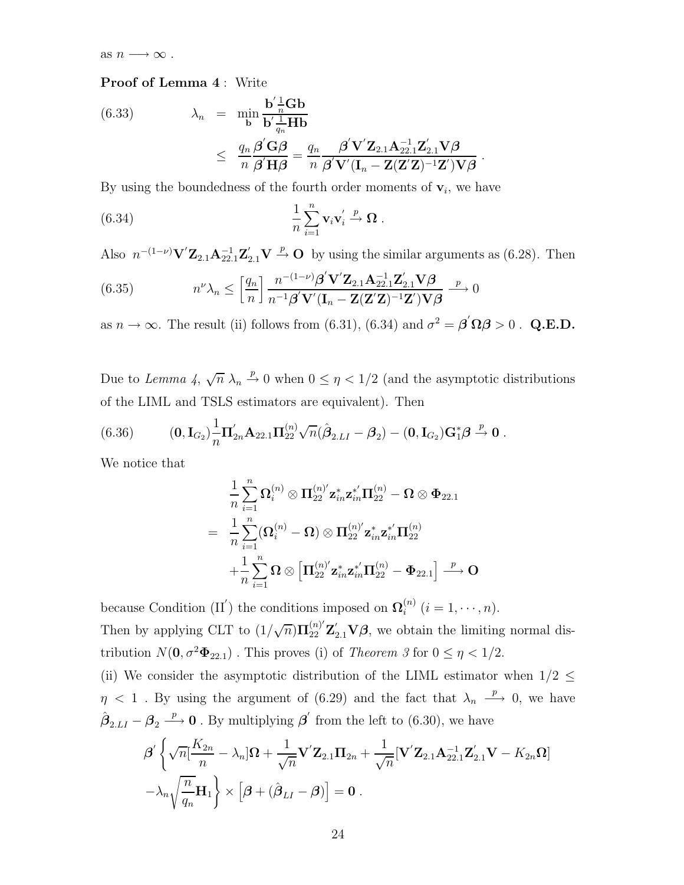as  $n \longrightarrow \infty$ .

#### **Proof of Lemma 4** : Write

(6.33) 
$$
\lambda_n = \min_{\mathbf{b}} \frac{\mathbf{b}' \frac{1}{n} \mathbf{G} \mathbf{b}}{\mathbf{b}' \frac{1}{q_n} \mathbf{H} \mathbf{b}} \leq \frac{q_n}{n} \frac{\boldsymbol{\beta}' \mathbf{G} \boldsymbol{\beta}}{\boldsymbol{\beta}' \mathbf{H} \boldsymbol{\beta}} = \frac{q_n}{n} \frac{\boldsymbol{\beta}' \mathbf{V}' \mathbf{Z}_{2.1} \mathbf{A}_{22.1}^{-1} \mathbf{Z}'_{2.1} \mathbf{V} \boldsymbol{\beta}}{\boldsymbol{\beta}' \mathbf{V}' (\mathbf{I}_n - \mathbf{Z} (\mathbf{Z}' \mathbf{Z})^{-1} \mathbf{Z}') \mathbf{V} \boldsymbol{\beta}}.
$$

By using the boundedness of the fourth order moments of  $\mathbf{v}_i$ , we have

(6.34) 
$$
\frac{1}{n} \sum_{i=1}^{n} \mathbf{v}_i \mathbf{v}_i' \xrightarrow{p} \mathbf{\Omega} .
$$

Also  $n^{-(1-\nu)}\mathbf{V}'\mathbf{Z}_{2.1}\mathbf{A}_{22.1}^{-1}\mathbf{Z}_{2.1}'\mathbf{V} \stackrel{p}{\rightarrow} \mathbf{O}$  by using the similar arguments as (6.28). Then

(6.35) 
$$
n^{\nu}\lambda_n \leq \left[\frac{q_n}{n}\right] \frac{n^{-(1-\nu)}\beta' \mathbf{V}'\mathbf{Z}_{2.1}\mathbf{A}_{2.1}^{-1}\mathbf{Z}_{2.1}'\mathbf{V}\beta}{n^{-1}\beta' \mathbf{V}'(\mathbf{I}_n - \mathbf{Z}(\mathbf{Z}'\mathbf{Z})^{-1}\mathbf{Z}')\mathbf{V}\beta} \xrightarrow{p} 0
$$

as  $n \to \infty$ . The result (ii) follows from (6.31), (6.34) and  $\sigma^2 = \beta' \Omega \beta > 0$ . Q.E.D.

Due to *Lemma 4*,  $\sqrt{n} \lambda_n \stackrel{p}{\rightarrow} 0$  when  $0 \leq \eta < 1/2$  (and the asymptotic distributions of the LIML and TSLS estimators are equivalent). Then

(6.36) 
$$
(0,\mathbf{I}_{G_2})\frac{1}{n}\Pi'_{2n}\mathbf{A}_{22.1}\Pi_{22}^{(n)}\sqrt{n}(\hat{\boldsymbol{\beta}}_{2.LI}-\boldsymbol{\beta}_2)-(0,\mathbf{I}_{G_2})\mathbf{G}_1^*\boldsymbol{\beta}\overset{p}{\to}\mathbf{0}.
$$

We notice that

$$
\begin{aligned} &\frac{1}{n}\sum_{i=1}^n {\bm{\Omega}}_i^{(n)} \otimes {\bm{\Pi}}_{22}^{(n)'} {\bm{z}}^*_{in} {\bm{z}}^{*'}_{in} {\bm{\Pi}}_{22}^{(n)} - {\bm{\Omega}} \otimes {\bm{\Phi}}_{22.1} \\ & = \ \ \frac{1}{n}\sum_{i=1}^n ({\bm{\Omega}}_i^{(n)} - {\bm{\Omega}}) \otimes {\bm{\Pi}}_{22}^{(n)'} {\bm{z}}^*_{in} {\bm{z}}^{*'}_{in} {\bm{\Pi}}_{22}^{(n)} \\ & \quad + \frac{1}{n}\sum_{i=1}^n {\bm{\Omega}} \otimes \left[ {\bm{\Pi}}_{22}^{(n)'} {\bm{z}}^*_{in} {\bm{z}}^{*'}_{in} {\bm{\Pi}}_{22}^{(n)} - {\bm{\Phi}}_{22.1} \right] \stackrel{p}{\longrightarrow} {\bm{\mathsf{O}}} \end{aligned}
$$

because Condition (II<sup>'</sup>) the conditions imposed on  $\Omega_i^{(n)}$  ( $i = 1, \dots, n$ ). Then by applying CLT to  $(1/\sqrt{n})\Pi_{22}^{(n)}$  $\sum_{22}^{(n)} \mathbf{Z}_{2.1}' \mathbf{V} \boldsymbol{\beta}$ , we obtain the limiting normal distribution  $N(\mathbf{0}, \sigma^2 \mathbf{\Phi}_{22.1})$ . This proves (i) of *Theorem 3* for  $0 \le \eta < 1/2$ .

(ii) We consider the asymptotic distribution of the LIML estimator when  $1/2 \leq$  $\eta$  < 1. By using the argument of (6.29) and the fact that  $\lambda_n \stackrel{p}{\longrightarrow} 0$ , we have  $\hat{\boldsymbol{\beta}}_{2.LI} - \boldsymbol{\beta}_2 \stackrel{p}{\longrightarrow} 0$ . By multiplying  $\boldsymbol{\beta}'$  from the left to (6.30), we have

$$
\beta' \left\{ \sqrt{n} \left[ \frac{K_{2n}}{n} - \lambda_n \right] \Omega + \frac{1}{\sqrt{n}} \mathbf{V}' \mathbf{Z}_{2.1} \mathbf{\Pi}_{2n} + \frac{1}{\sqrt{n}} [\mathbf{V}' \mathbf{Z}_{2.1} \mathbf{A}_{22.1}^{-1} \mathbf{Z}'_{2.1} \mathbf{V} - K_{2n} \Omega] - \lambda_n \sqrt{\frac{n}{q_n}} \mathbf{H}_1 \right\} \times \left[ \beta + (\hat{\boldsymbol{\beta}}_{LI} - \boldsymbol{\beta}) \right] = \mathbf{0} .
$$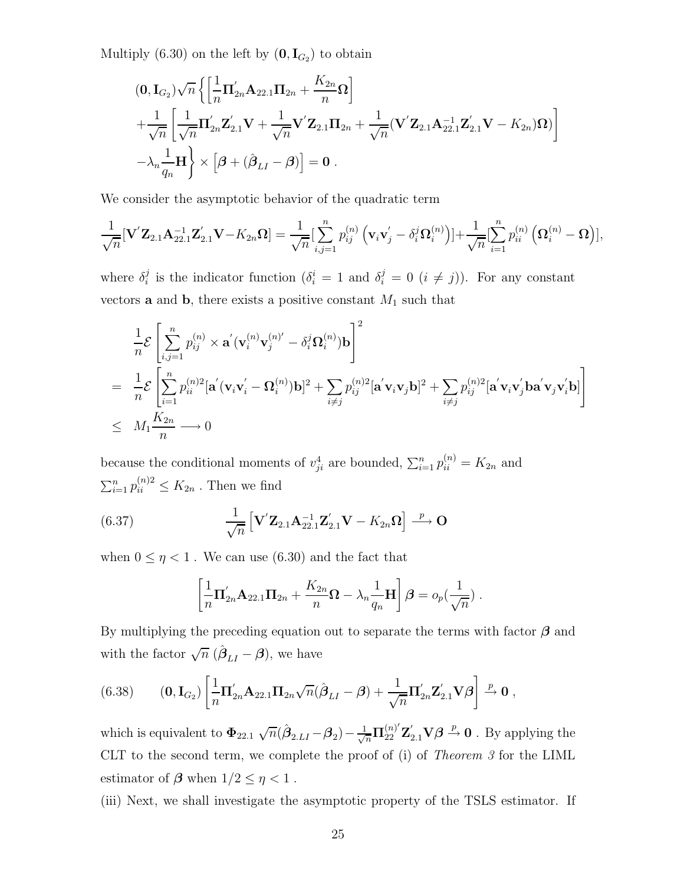Multiply (6.30) on the left by  $(0, I_{G_2})$  to obtain

$$
(0, I_{G_2})\sqrt{n}\left\{\left[\frac{1}{n}\Pi'_{2n}A_{22.1}\Pi_{2n} + \frac{K_{2n}}{n}\Omega\right] + \frac{1}{\sqrt{n}}\left[\frac{1}{\sqrt{n}}\Pi'_{2n}\mathbf{Z}_{2.1}'\mathbf{V} + \frac{1}{\sqrt{n}}\mathbf{V}'\mathbf{Z}_{2.1}\Pi_{2n} + \frac{1}{\sqrt{n}}(\mathbf{V}'\mathbf{Z}_{2.1}\mathbf{A}_{22.1}'\mathbf{Z}_{2.1}'\mathbf{V} - K_{2n})\Omega)\right] - \lambda_n\frac{1}{q_n}\mathbf{H}\right\} \times \left[\boldsymbol{\beta} + (\hat{\boldsymbol{\beta}}_{LI} - \boldsymbol{\beta})\right] = \mathbf{0}.
$$

We consider the asymptotic behavior of the quadratic term

$$
\frac{1}{\sqrt{n}}[\mathbf{V}'\mathbf{Z}_{2.1}\mathbf{A}_{22.1}^{-1}\mathbf{Z}_{2.1}'\mathbf{V}-K_{2n}\mathbf{\Omega}] = \frac{1}{\sqrt{n}}[\sum_{i,j=1}^{n}p_{ij}^{(n)}(\mathbf{v}_{i}\mathbf{v}_{j}'-\delta_{i}^{j}\mathbf{\Omega}_{i}^{(n)})]+\frac{1}{\sqrt{n}}[\sum_{i=1}^{n}p_{ii}^{(n)}(\mathbf{\Omega}_{i}^{(n)}-\mathbf{\Omega})],
$$

where  $\delta_i^j$  is the indicator function  $(\delta_i^i = 1 \text{ and } \delta_i^j = 0 \text{ } (i \neq j)).$  For any constant vectors **a** and **b**, there exists a positive constant  $M_1$  such that

$$
\frac{1}{n} \mathcal{E} \left[ \sum_{i,j=1}^n p_{ij}^{(n)} \times \mathbf{a}'(\mathbf{v}_i^{(n)} \mathbf{v}_j^{(n)'} - \delta_i^j \Omega_i^{(n)}) \mathbf{b} \right]^2
$$
\n
$$
= \frac{1}{n} \mathcal{E} \left[ \sum_{i=1}^n p_{ii}^{(n)2} [\mathbf{a}'(\mathbf{v}_i \mathbf{v}_i' - \Omega_i^{(n)}) \mathbf{b}]^2 + \sum_{i \neq j} p_{ij}^{(n)2} [\mathbf{a}'\mathbf{v}_i \mathbf{v}_j \mathbf{b}]^2 + \sum_{i \neq j} p_{ij}^{(n)2} [\mathbf{a}'\mathbf{v}_i \mathbf{v}_j' \mathbf{b} \mathbf{a}'\mathbf{v}_j \mathbf{v}_i' \mathbf{b}] \right]
$$
\n
$$
\leq M_1 \frac{K_{2n}}{n} \longrightarrow 0
$$

because the conditional moments of  $v_{ji}^4$  are bounded,  $\sum_{i=1}^n p_{ii}^{(n)} = K_{2n}$  and  $\sum_{i=1}^n p_{ii}^{(n)2} \leq K_{2n}$ . Then we find

(6.37) 
$$
\frac{1}{\sqrt{n}} \left[ \mathbf{V}' \mathbf{Z}_{2.1} \mathbf{A}_{22.1}^{-1} \mathbf{Z}'_{2.1} \mathbf{V} - K_{2n} \mathbf{\Omega} \right] \stackrel{p}{\longrightarrow} \mathbf{O}
$$

when  $0 \leq \eta < 1$  . We can use (6.30) and the fact that

$$
\left[\frac{1}{n}\Pi'_{2n}\mathbf{A}_{22.1}\Pi_{2n}+\frac{K_{2n}}{n}\mathbf{\Omega}-\lambda_n\frac{1}{q_n}\mathbf{H}\right]\boldsymbol{\beta}=o_p(\frac{1}{\sqrt{n}}).
$$

By multiplying the preceding equation out to separate the terms with factor *β* and with the factor  $\sqrt{n} (\hat{\beta}_{LI} - \beta)$ , we have

(6.38) 
$$
(0, I_{G_2}) \left[ \frac{1}{n} \Pi'_{2n} A_{22.1} \Pi_{2n} \sqrt{n} (\hat{\boldsymbol{\beta}}_{LI} - \boldsymbol{\beta}) + \frac{1}{\sqrt{n}} \Pi'_{2n} \mathbf{Z}'_{2.1} \mathbf{V} \boldsymbol{\beta} \right] \stackrel{p}{\rightarrow} 0,
$$

which is equivalent to  $\Phi_{22.1} \sqrt{n}(\hat{\beta}_{2.LI} - \beta_2) - \frac{1}{\sqrt{n}} \Pi_{22}^{(n)'} \mathbf{Z}'_{2.1} \mathbf{V} \beta \stackrel{p}{\rightarrow} 0$ . By applying the CLT to the second term, we complete the proof of (i) of *Theorem 3* for the LIML estimator of  $\beta$  when  $1/2 \leq \eta < 1$ .

(iii) Next, we shall investigate the asymptotic property of the TSLS estimator. If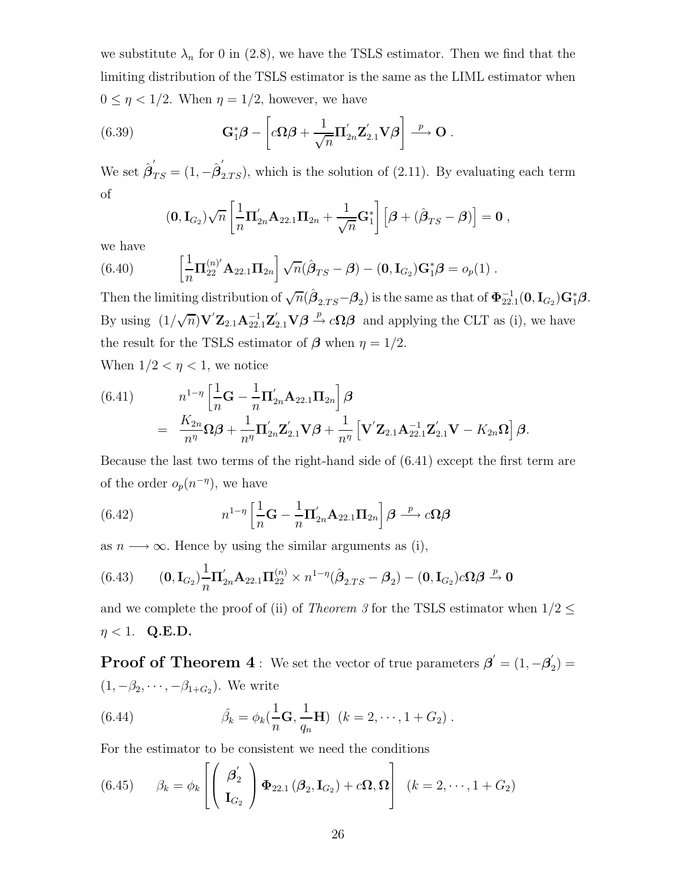we substitute  $\lambda_n$  for 0 in (2.8), we have the TSLS estimator. Then we find that the limiting distribution of the TSLS estimator is the same as the LIML estimator when  $0 \leq \eta < 1/2$ . When  $\eta = 1/2$ , however, we have

(6.39) 
$$
\mathbf{G}_{1}^{*}\boldsymbol{\beta} - \left[c\boldsymbol{\Omega}\boldsymbol{\beta} + \frac{1}{\sqrt{n}}\boldsymbol{\Pi}_{2n}^{\prime}\mathbf{Z}_{2.1}^{\prime}\mathbf{V}\boldsymbol{\beta}\right] \stackrel{p}{\longrightarrow} \mathbf{O}.
$$

We set  $\hat{\boldsymbol{\beta}}'_{TS} = (1, -\hat{\boldsymbol{\beta}}'_{2,TS})$ , which is the solution of (2.11). By evaluating each term of

$$
(\mathbf{0},\mathbf{I}_{G_2})\sqrt{n}\left[\frac{1}{n}\Pi'_{2n}\mathbf{A}_{22.1}\Pi_{2n}+\frac{1}{\sqrt{n}}\mathbf{G}_1^*\right]\left[\boldsymbol{\beta}+(\hat{\boldsymbol{\beta}}_{TS}-\boldsymbol{\beta})\right]=\mathbf{0},
$$

we have

(6.40) 
$$
\left[\frac{1}{n}\Pi_{22}^{(n)'}\mathbf{A}_{22.1}\Pi_{2n}\right]\sqrt{n}(\hat{\boldsymbol{\beta}}_{TS}-\boldsymbol{\beta})-(\mathbf{0},\mathbf{I}_{G_2})\mathbf{G}_1^*\boldsymbol{\beta}=o_p(1).
$$

Then the limiting distribution of  $\sqrt{n}(\hat{\boldsymbol{\beta}}_{2.TS} - \boldsymbol{\beta}_2)$  is the same as that of  $\Phi_{22.1}^{-1}(\mathbf{0}, \mathbf{I}_{G_2})\mathbf{G}_1^*\boldsymbol{\beta}$ . By using  $(1/\sqrt{n})\mathbf{V}'$  $Z_{2,1}\mathbf{A}_{2,1}^{-1}\mathbf{Z}_{2,1}'\mathbf{V}\boldsymbol{\beta} \stackrel{p}{\rightarrow} c\mathbf{\Omega}\boldsymbol{\beta}$  and applying the CLT as (i), we have the result for the TSLS estimator of  $\beta$  when  $\eta = 1/2$ .

When  $1/2 < \eta < 1$ , we notice

(6.41) 
$$
n^{1-\eta} \left[ \frac{1}{n} \mathbf{G} - \frac{1}{n} \mathbf{\Pi}_{2n}' \mathbf{A}_{22.1} \mathbf{\Pi}_{2n} \right] \boldsymbol{\beta} = \frac{K_{2n}}{n^{\eta}} \Omega \boldsymbol{\beta} + \frac{1}{n^{\eta}} \mathbf{\Pi}_{2n}' \mathbf{Z}_{2.1}' \mathbf{V} \boldsymbol{\beta} + \frac{1}{n^{\eta}} \left[ \mathbf{V}' \mathbf{Z}_{2.1} \mathbf{A}_{22.1}^{-1} \mathbf{Z}_{2.1}' \mathbf{V} - K_{2n} \Omega \right] \boldsymbol{\beta}.
$$

Because the last two terms of the right-hand side of (6.41) except the first term are of the order  $o_p(n^{-\eta})$ , we have

(6.42) 
$$
n^{1-\eta} \left[ \frac{1}{n} \mathbf{G} - \frac{1}{n} \mathbf{\Pi}_{2n}' \mathbf{A}_{22.1} \mathbf{\Pi}_{2n} \right] \boldsymbol{\beta} \stackrel{p}{\longrightarrow} c\Omega \boldsymbol{\beta}
$$

as  $n \longrightarrow \infty$ . Hence by using the similar arguments as (i),

$$
(6.43) \qquad (\mathbf{0}, \mathbf{I}_{G_2})\frac{1}{n}\mathbf{\Pi}_{2n}'\mathbf{A}_{22.1}\mathbf{\Pi}_{22}^{(n)} \times n^{1-\eta}(\hat{\boldsymbol{\beta}}_{2.TS} - \boldsymbol{\beta}_2) - (\mathbf{0}, \mathbf{I}_{G_2})c\Omega\boldsymbol{\beta} \xrightarrow{p} \mathbf{0}
$$

and we complete the proof of (ii) of *Theorem 3* for the TSLS estimator when  $1/2 \leq$  $\eta < 1$ . **Q.E.D.** 

**Proof of Theorem 4**: We set the vector of true parameters  $\boldsymbol{\beta}' = (1, -\boldsymbol{\beta}'_2) =$  $(1, -\beta_2, \cdots, -\beta_{1+G_2})$ . We write

(6.44) 
$$
\hat{\beta}_k = \phi_k(\frac{1}{n}\mathbf{G}, \frac{1}{q_n}\mathbf{H}) \ \ (k = 2, \cdots, 1 + G_2) \ .
$$

For the estimator to be consistent we need the conditions

(6.45) 
$$
\beta_k = \phi_k \left[ \begin{pmatrix} \beta'_2 \\ \mathbf{I}_{G_2} \end{pmatrix} \boldsymbol{\Phi}_{22.1} (\boldsymbol{\beta}_2, \mathbf{I}_{G_2}) + c \boldsymbol{\Omega}, \boldsymbol{\Omega} \right] (k = 2, \dots, 1 + G_2)
$$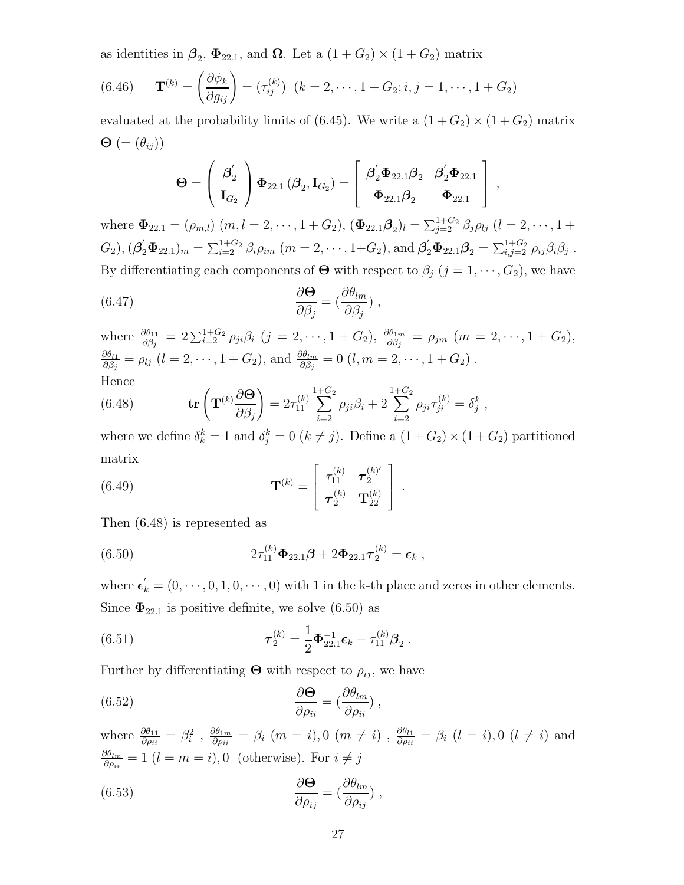as identities in  $\beta_2$ ,  $\Phi_{22.1}$ , and  $\Omega$ . Let a  $(1+G_2) \times (1+G_2)$  matrix

(6.46) 
$$
\mathbf{T}^{(k)} = \left(\frac{\partial \phi_k}{\partial g_{ij}}\right) = (\tau_{ij}^{(k)}) \ (k = 2, \cdots, 1 + G_2; i, j = 1, \cdots, 1 + G_2)
$$

evaluated at the probability limits of (6.45). We write a  $(1+G_2) \times (1+G_2)$  matrix  $\mathbf{\Theta}$  (=  $(\theta_{ij})$ )

$$
\boldsymbol{\Theta} = \left(\begin{array}{c} \boldsymbol{\beta}_2'\\ \mathbf{I}_{G_2} \end{array}\right) \boldsymbol{\Phi}_{22.1}\left(\boldsymbol{\beta}_2,\mathbf{I}_{G_2}\right) = \left[\begin{array}{cc} \boldsymbol{\beta}_2'\boldsymbol{\Phi}_{22.1}\boldsymbol{\beta}_2 & \boldsymbol{\beta}_2'\boldsymbol{\Phi}_{22.1}\\ \boldsymbol{\Phi}_{22.1}\boldsymbol{\beta}_2 & \boldsymbol{\Phi}_{22.1} \end{array}\right] \ ,
$$

where  $\Phi_{22.1} = (\rho_{m,l}) (m, l = 2, \dots, 1 + G_2), (\Phi_{22.1} \beta_2)_l = \sum_{j=2}^{1+G_2} \beta_j \rho_{lj} (l = 2, \dots, 1 + G_2)$  $G_2$ ),  $(\beta'_2 \Phi_{22.1})_m = \sum_{i=2}^{1+G_2} \beta_i \rho_{im}$   $(m = 2, \dots, 1+G_2)$ , and  $\beta'_2 \Phi_{22.1} \beta_2 = \sum_{i,j=2}^{1+G_2} \rho_{ij} \beta_i \beta_j$ . By differentiating each components of  $\Theta$  with respect to  $\beta_j$  ( $j = 1, \dots, G_2$ ), we have

(6.47) 
$$
\frac{\partial \Theta}{\partial \beta_j} = \left(\frac{\partial \theta_{lm}}{\partial \beta_j}\right),
$$

where  $\frac{\partial \theta_{11}}{\partial \beta_j} = 2 \sum_{i=2}^{1+G_2} \rho_{ji} \beta_i$  (j = 2, ···, 1 + G<sub>2</sub>),  $\frac{\partial \theta_{1m}}{\partial \beta_j} = \rho_{jm}$  (m = 2, ···, 1 + G<sub>2</sub>),  $\frac{\partial \theta_{l1}}{\partial \beta_j} = \rho_{lj}$  (*l* = 2, ···, 1 + G<sub>2</sub>), and  $\frac{\partial \theta_{lm}}{\partial \beta_j} = 0$  (*l*,  $m = 2, \dots, 1 + G_2$ ). Hence

(6.48) 
$$
\mathbf{tr}\left(\mathbf{T}^{(k)}\frac{\partial\mathbf{\Theta}}{\partial\beta_j}\right) = 2\tau_{11}^{(k)}\sum_{i=2}^{1+G_2} \rho_{ji}\beta_i + 2\sum_{i=2}^{1+G_2} \rho_{ji}\tau_{ji}^{(k)} = \delta_j^k,
$$

where we define  $\delta_k^k = 1$  and  $\delta_j^k = 0$   $(k \neq j)$ . Define a  $(1 + G_2) \times (1 + G_2)$  partitioned matrix

(6.49) 
$$
\mathbf{T}^{(k)} = \begin{bmatrix} \tau_{11}^{(k)} & \tau_{2}^{(k)'} \\ \tau_{2}^{(k)} & \mathbf{T}_{22}^{(k)} \end{bmatrix}.
$$

Then (6.48) is represented as

(6.50) 
$$
2\tau_{11}^{(k)}\mathbf{\Phi}_{22.1}\boldsymbol{\beta} + 2\mathbf{\Phi}_{22.1}\boldsymbol{\tau}_{2}^{(k)} = \boldsymbol{\epsilon}_{k},
$$

where  $\epsilon'_{k} = (0, \dots, 0, 1, 0, \dots, 0)$  with 1 in the k-th place and zeros in other elements. Since  $\Phi_{22.1}$  is positive definite, we solve (6.50) as

(6.51) 
$$
\boldsymbol{\tau}_2^{(k)} = \frac{1}{2} \boldsymbol{\Phi}_{22.1}^{-1} \boldsymbol{\epsilon}_k - \tau_{11}^{(k)} \boldsymbol{\beta}_2.
$$

Further by differentiating  $\Theta$  with respect to  $\rho_{ij}$ , we have

(6.52) 
$$
\frac{\partial \mathbf{\Theta}}{\partial \rho_{ii}} = \left(\frac{\partial \theta_{lm}}{\partial \rho_{ii}}\right),
$$

where  $\frac{\partial \theta_{11}}{\partial \rho_{ii}} = \beta_i^2$ ,  $\frac{\partial \theta_{1m}}{\partial \rho_{ii}} = \beta_i$  (*m* = *i*), 0 (*m*  $\neq$  *i*),  $\frac{\partial \theta_{l1}}{\partial \rho_{ii}} = \beta_i$  (*l* = *i*), 0 (*l*  $\neq$  *i*) and  $\frac{\partial \theta_{lm}}{\partial \rho_{ii}} = 1$  (*l* = *m* = *i*), 0 (otherwise). For  $i \neq j$ 

(6.53) 
$$
\frac{\partial \Theta}{\partial \rho_{ij}} = \left(\frac{\partial \theta_{lm}}{\partial \rho_{ij}}\right),
$$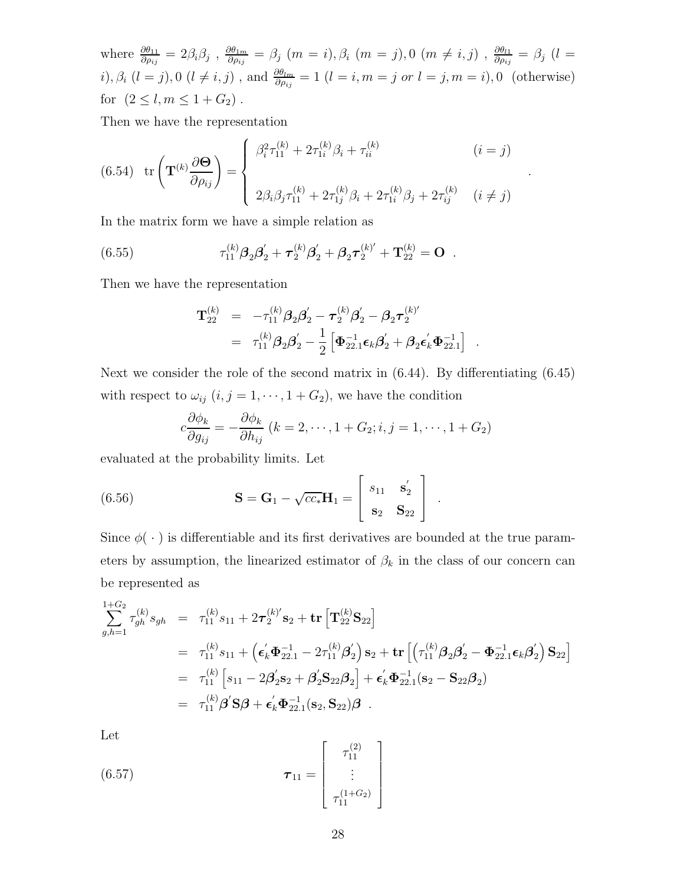where  $\frac{\partial \theta_{11}}{\partial \rho_{ij}} = 2\beta_i\beta_j$  ,  $\frac{\partial \theta_{1m}}{\partial \rho_{ij}} = \beta_j$   $(m = i), \beta_i$   $(m = j), 0$   $(m \neq i, j)$  ,  $\frac{\partial \theta_{l1}}{\partial \rho_{ij}} = \beta_j$   $(l = j)$ *i*),  $\beta_i$  (*l* = *j*), 0 (*l*  $\neq i, j$ ), and  $\frac{\partial \theta_{lm}}{\partial \rho_{ij}} = 1$  (*l* = *i*, *m* = *j* or *l* = *j*, *m* = *i*), 0 (otherwise) for  $(2 \leq l, m \leq 1 + G_2)$ .

Then we have the representation

(6.54) 
$$
\text{tr}\left(\mathbf{T}^{(k)}\frac{\partial\mathbf{\Theta}}{\partial\rho_{ij}}\right) = \begin{cases} \beta_i^2 \tau_{11}^{(k)} + 2\tau_{1i}^{(k)}\beta_i + \tau_{ii}^{(k)} & (i = j) \\ 2\beta_i\beta_j \tau_{11}^{(k)} + 2\tau_{1j}^{(k)}\beta_i + 2\tau_{1i}^{(k)}\beta_j + 2\tau_{ij}^{(k)} & (i \neq j) \end{cases}
$$

In the matrix form we have a simple relation as

(6.55) 
$$
\tau_{11}^{(k)}\beta_2\beta_2' + \tau_2^{(k)}\beta_2' + \beta_2\tau_2^{(k)'} + \mathbf{T}_{22}^{(k)} = \mathbf{O}.
$$

Then we have the representation

$$
\begin{array}{lll} \mathbf{T}_{22}^{(k)} & = & -\tau_{11}^{(k)}\boldsymbol{\beta}_{2}\boldsymbol{\beta}_{2}^{\prime}-\boldsymbol{\tau}_{2}^{(k)}\boldsymbol{\beta}_{2}^{\prime}-\boldsymbol{\beta}_{2}\boldsymbol{\tau}_{2}^{(k)'} \\ & = & \tau_{11}^{(k)}\boldsymbol{\beta}_{2}\boldsymbol{\beta}_{2}^{\prime}-\frac{1}{2}\left[\boldsymbol{\Phi}_{22.1}^{-1}\boldsymbol{\epsilon}_{k}\boldsymbol{\beta}_{2}^{\prime}+\boldsymbol{\beta}_{2}\boldsymbol{\epsilon}_{k}^{\prime}\boldsymbol{\Phi}_{22.1}^{-1}\right] \end{array}.
$$

Next we consider the role of the second matrix in (6.44). By differentiating (6.45) with respect to  $\omega_{ij}$   $(i, j = 1, \dots, 1 + G_2)$ , we have the condition

$$
c\frac{\partial \phi_k}{\partial g_{ij}} = -\frac{\partial \phi_k}{\partial h_{ij}}\ (k=2,\cdots,1+G_2;i,j=1,\cdots,1+G_2)
$$

evaluated at the probability limits. Let

(6.56) 
$$
\mathbf{S} = \mathbf{G}_1 - \sqrt{cc_*} \mathbf{H}_1 = \begin{bmatrix} s_{11} & \mathbf{s}'_2 \\ \mathbf{s}_2 & \mathbf{S}_{22} \end{bmatrix}.
$$

Since  $\phi(\cdot)$  is differentiable and its first derivatives are bounded at the true parameters by assumption, the linearized estimator of  $\beta_k$  in the class of our concern can be represented as

$$
\sum_{g,h=1}^{1+G_2} \tau_{gh}^{(k)} s_{gh} = \tau_{11}^{(k)} s_{11} + 2\tau_{2}^{(k)'} s_{2} + \text{tr} \left[ \mathbf{T}_{22}^{(k)} \mathbf{S}_{22} \right]
$$
\n
$$
= \tau_{11}^{(k)} s_{11} + \left( \epsilon_{k}^{'} \Phi_{22.1}^{-1} - 2\tau_{11}^{(k)} \beta_{2}' \right) s_{2} + \text{tr} \left[ \left( \tau_{11}^{(k)} \beta_{2} \beta_{2}^{'} - \Phi_{22.1}^{-1} \epsilon_{k} \beta_{2}' \right) \mathbf{S}_{22} \right]
$$
\n
$$
= \tau_{11}^{(k)} \left[ s_{11} - 2\beta_{2}^{'} s_{2} + \beta_{2}^{'} \mathbf{S}_{22} \beta_{2} \right] + \epsilon_{k}^{'} \Phi_{22.1}^{-1} (s_{2} - S_{22} \beta_{2})
$$
\n
$$
= \tau_{11}^{(k)} \beta^{'} \mathbf{S} \beta + \epsilon_{k}^{'} \Phi_{22.1}^{-1} (s_{2}, S_{22}) \beta .
$$

Let

(6.57) 
$$
\boldsymbol{\tau}_{11} = \begin{bmatrix} \tau_{11}^{(2)} \\ \vdots \\ \tau_{11}^{(1+G_2)} \end{bmatrix}
$$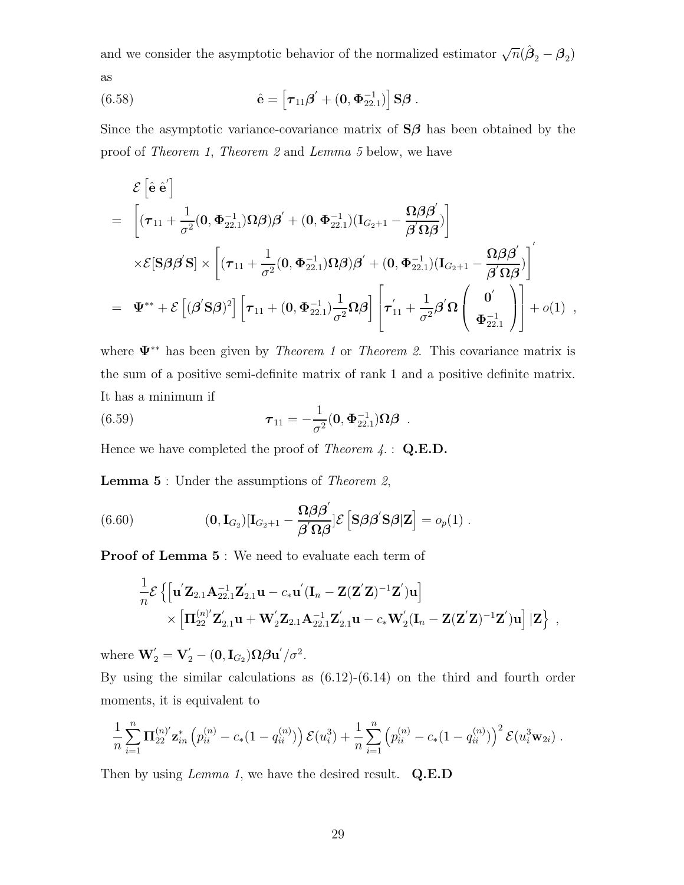and we consider the asymptotic behavior of the normalized estimator  $\sqrt{n}(\hat{\beta}_2 - \beta_2)$ as

(6.58) 
$$
\hat{\mathbf{e}} = \left[ \boldsymbol{\tau}_{11} \boldsymbol{\beta}' + (\mathbf{0}, \boldsymbol{\Phi}_{22.1}^{-1}) \right] \mathbf{S} \boldsymbol{\beta} .
$$

Since the asymptotic variance-covariance matrix of **S***β* has been obtained by the proof of *Theorem 1*, *Theorem 2* and *Lemma 5* below, we have

$$
\mathcal{E}\left[\hat{\mathbf{e}}\,\hat{\mathbf{e}}'\right] \n= \left[ (\boldsymbol{\tau}_{11} + \frac{1}{\sigma^2}(\mathbf{0}, \boldsymbol{\Phi}_{22.1}^{-1})\Omega\boldsymbol{\beta})\boldsymbol{\beta}' + (\mathbf{0}, \boldsymbol{\Phi}_{22.1}^{-1})(\mathbf{I}_{G_2+1} - \frac{\Omega\boldsymbol{\beta}\boldsymbol{\beta}'}{\boldsymbol{\beta}'\Omega\boldsymbol{\beta}}) \right] \n\times \mathcal{E}[\mathbf{S}\boldsymbol{\beta}\boldsymbol{\beta}'\mathbf{S}] \times \left[ (\boldsymbol{\tau}_{11} + \frac{1}{\sigma^2}(\mathbf{0}, \boldsymbol{\Phi}_{22.1}^{-1})\Omega\boldsymbol{\beta})\boldsymbol{\beta}' + (\mathbf{0}, \boldsymbol{\Phi}_{22.1}^{-1})(\mathbf{I}_{G_2+1} - \frac{\Omega\boldsymbol{\beta}\boldsymbol{\beta}'}{\boldsymbol{\beta}'\Omega\boldsymbol{\beta}}) \right] \n= \boldsymbol{\Psi}^{**} + \mathcal{E}\left[ (\boldsymbol{\beta}'\mathbf{S}\boldsymbol{\beta})^2\right] \left[ \boldsymbol{\tau}_{11} + (\mathbf{0}, \boldsymbol{\Phi}_{22.1}^{-1})\frac{1}{\sigma^2}\Omega\boldsymbol{\beta}\right] \left[ \boldsymbol{\tau}_{11}' + \frac{1}{\sigma^2}\boldsymbol{\beta}'\Omega\left(\begin{array}{c} \mathbf{0}' \\ \boldsymbol{\Phi}_{22.1}^{-1} \end{array}\right) \right] + o(1) ,
$$

where **Ψ**∗∗ has been given by *Theorem 1* or *Theorem 2*. This covariance matrix is the sum of a positive semi-definite matrix of rank 1 and a positive definite matrix. It has a minimum if

(6.59) 
$$
\boldsymbol{\tau}_{11} = -\frac{1}{\sigma^2}(\mathbf{0}, \boldsymbol{\Phi}_{22.1}^{-1})\boldsymbol{\Omega}\boldsymbol{\beta}.
$$

Hence we have completed the proof of *Theorem 4*. : **Q.E.D.**

**Lemma 5** : Under the assumptions of *Theorem 2*,

(6.60) 
$$
(\mathbf{0}, \mathbf{I}_{G_2})[\mathbf{I}_{G_2+1} - \frac{\mathbf{\Omega}\beta\boldsymbol{\beta}'}{\boldsymbol{\beta}'\Omega\boldsymbol{\beta}}]\mathcal{E}\left[\mathbf{S}\boldsymbol{\beta}\boldsymbol{\beta}'\mathbf{S}\boldsymbol{\beta}|\mathbf{Z}\right] = o_p(1) .
$$

**Proof of Lemma 5** : We need to evaluate each term of

$$
\begin{aligned}\frac{1}{n}\mathcal{E}\left\{\left[\mathbf{u}'\mathbf{Z}_{2.1}\mathbf{A}_{22.1}^{-1}\mathbf{Z}_{2.1}'\mathbf{u}-c_*\mathbf{u}'(\mathbf{I}_n-\mathbf{Z}(\mathbf{Z}'\mathbf{Z})^{-1}\mathbf{Z}')\mathbf{u}\right]\right.\\ &\qquad\qquad\times\left[\mathbf{\Pi}_{22}^{(n)'}\mathbf{Z}_{2.1}'\mathbf{u}+\mathbf{W}_2'\mathbf{Z}_{2.1}\mathbf{A}_{22.1}^{-1}\mathbf{Z}_{2.1}'\mathbf{u}-c_*\mathbf{W}_2'(\mathbf{I}_n-\mathbf{Z}(\mathbf{Z}'\mathbf{Z})^{-1}\mathbf{Z}')\mathbf{u}\right]\left|\mathbf{Z}\right\}\;, \end{aligned}
$$

where  $\mathbf{W}'_2 = \mathbf{V}'_2 - (\mathbf{0}, \mathbf{I}_{G_2})\Omega \boldsymbol{\beta} \mathbf{u}'/\sigma^2$ .

By using the similar calculations as (6.12)-(6.14) on the third and fourth order moments, it is equivalent to

$$
\frac{1}{n}\sum_{i=1}^n \mathbf{\Pi}_{22}^{(n)'}\mathbf{z}_{in}^* \left(p_{ii}^{(n)}-c_*(1-q_{ii}^{(n)})\right) \mathcal{E}(u_i^3) + \frac{1}{n}\sum_{i=1}^n \left(p_{ii}^{(n)}-c_*(1-q_{ii}^{(n)})\right)^2 \mathcal{E}(u_i^3 \mathbf{w}_{2i}).
$$

Then by using *Lemma 1*, we have the desired result. **Q.E.D**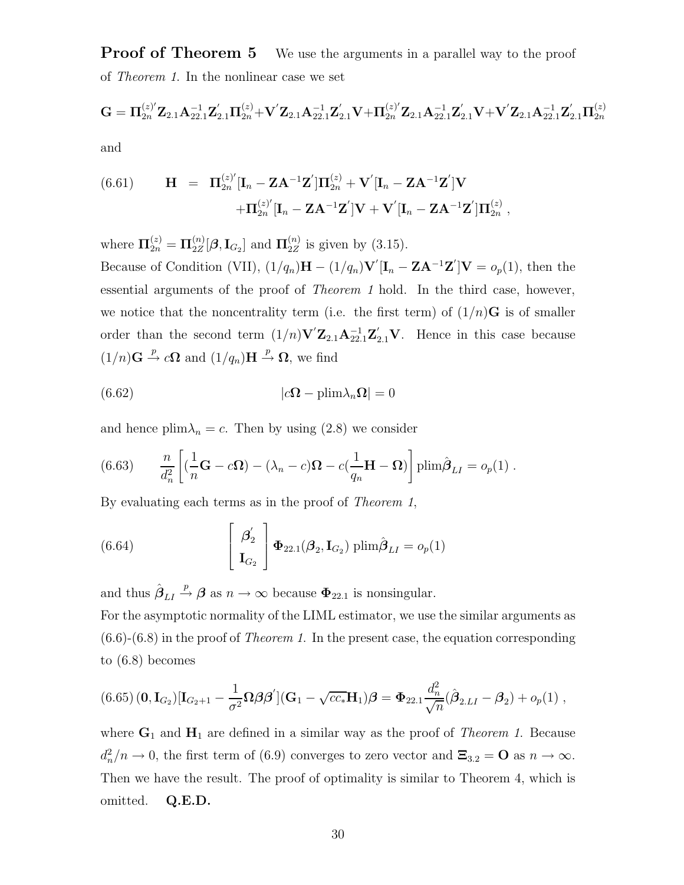**Proof of Theorem 5** We use the arguments in a parallel way to the proof of *Theorem 1*. In the nonlinear case we set

$$
\mathbf{G}=\boldsymbol{\Pi}_{2n}^{(z)'}\mathbf{Z}_{2.1}\mathbf{A}_{22.1}^{-1}\mathbf{Z}_{2.1}'\boldsymbol{\Pi}_{2n}^{(z)}+\mathbf{V}'\mathbf{Z}_{2.1}\mathbf{A}_{22.1}^{-1}\mathbf{Z}_{2.1}'\mathbf{V}+\boldsymbol{\Pi}_{2n}^{(z)'}\mathbf{Z}_{2.1}\mathbf{A}_{22.1}^{-1}\mathbf{Z}_{2.1}'\mathbf{V}+\mathbf{V}'\mathbf{Z}_{2.1}\mathbf{A}_{22.1}^{-1}\mathbf{Z}_{2.1}'\boldsymbol{\Pi}_{2n}^{(z)}
$$

and

(6.61) 
$$
\mathbf{H} = \mathbf{\Pi}_{2n}^{(z)'}[\mathbf{I}_n - \mathbf{Z}\mathbf{A}^{-1}\mathbf{Z}']\mathbf{\Pi}_{2n}^{(z)} + \mathbf{V}'[\mathbf{I}_n - \mathbf{Z}\mathbf{A}^{-1}\mathbf{Z}']\mathbf{V} + \mathbf{\Pi}_{2n}^{(z)'}[\mathbf{I}_n - \mathbf{Z}\mathbf{A}^{-1}\mathbf{Z}']\mathbf{V} + \mathbf{V}'[\mathbf{I}_n - \mathbf{Z}\mathbf{A}^{-1}\mathbf{Z}']\mathbf{\Pi}_{2n}^{(z)},
$$

where  $\Pi_{2n}^{(z)} = \Pi_{2Z}^{(n)}[\beta, I_{G_2}]$  and  $\Pi_{2Z}^{(n)}$  is given by (3.15). Because of Condition (VII),  $(1/q_n)\mathbf{H} - (1/q_n)\mathbf{V}'[\mathbf{I}_n - \mathbf{ZA}^{-1}\mathbf{Z}']\mathbf{V} = o_p(1)$ , then the essential arguments of the proof of *Theorem 1* hold. In the third case, however, we notice that the noncentrality term (i.e. the first term) of  $(1/n)\mathbf{G}$  is of smaller order than the second term  $(1/n)\mathbf{V}'\mathbf{Z}_{2.1}\mathbf{A}_{22.1}^{-1}\mathbf{Z}_{2.1}'\mathbf{V}$ . Hence in this case because  $(1/n)\mathbf{G} \stackrel{p}{\rightarrow} c\mathbf{\Omega}$  and  $(1/q_n)\mathbf{H} \stackrel{p}{\rightarrow} \mathbf{\Omega}$ , we find

(6.62) 
$$
|c\mathbf{\Omega} - \text{plim}\lambda_n \mathbf{\Omega}| = 0
$$

and hence  $\text{plim}\lambda_n = c$ . Then by using (2.8) we consider

(6.63) 
$$
\frac{n}{d_n^2} \left[ (\frac{1}{n} \mathbf{G} - c \mathbf{\Omega}) - (\lambda_n - c) \mathbf{\Omega} - c (\frac{1}{q_n} \mathbf{H} - \mathbf{\Omega}) \right] \text{plim} \hat{\boldsymbol{\beta}}_{LI} = o_p(1) .
$$

By evaluating each terms as in the proof of *Theorem 1*,

(6.64) 
$$
\begin{bmatrix} \beta_2' \\ \mathbf{I}_{G_2} \end{bmatrix} \mathbf{\Phi}_{22.1}(\boldsymbol{\beta}_2, \mathbf{I}_{G_2}) \text{plim}\hat{\boldsymbol{\beta}}_{LI} = o_p(1)
$$

and thus  $\hat{\beta}_{LI} \stackrel{p}{\rightarrow} \beta$  as  $n \rightarrow \infty$  because  $\Phi_{22.1}$  is nonsingular.

For the asymptotic normality of the LIML estimator, we use the similar arguments as (6.6)-(6.8) in the proof of *Theorem 1*. In the present case, the equation corresponding to (6.8) becomes

$$
(6.65)(\mathbf{0},\mathbf{I}_{G_2})[\mathbf{I}_{G_2+1}-\frac{1}{\sigma^2}\mathbf{\Omega}\boldsymbol{\beta}\boldsymbol{\beta}'](\mathbf{G}_1-\sqrt{cc_*}\mathbf{H}_1)\boldsymbol{\beta}=\Phi_{22.1}\frac{d_n^2}{\sqrt{n}}(\hat{\boldsymbol{\beta}}_{2.LI}-\boldsymbol{\beta}_2)+o_p(1),
$$

where  $\mathbf{G}_1$  and  $\mathbf{H}_1$  are defined in a similar way as the proof of *Theorem 1*. Because  $d_n^2/n \to 0$ , the first term of (6.9) converges to zero vector and  $\Xi_{3.2} = \mathbf{O}$  as  $n \to \infty$ . Then we have the result. The proof of optimality is similar to Theorem 4, which is omitted. **Q.E.D.**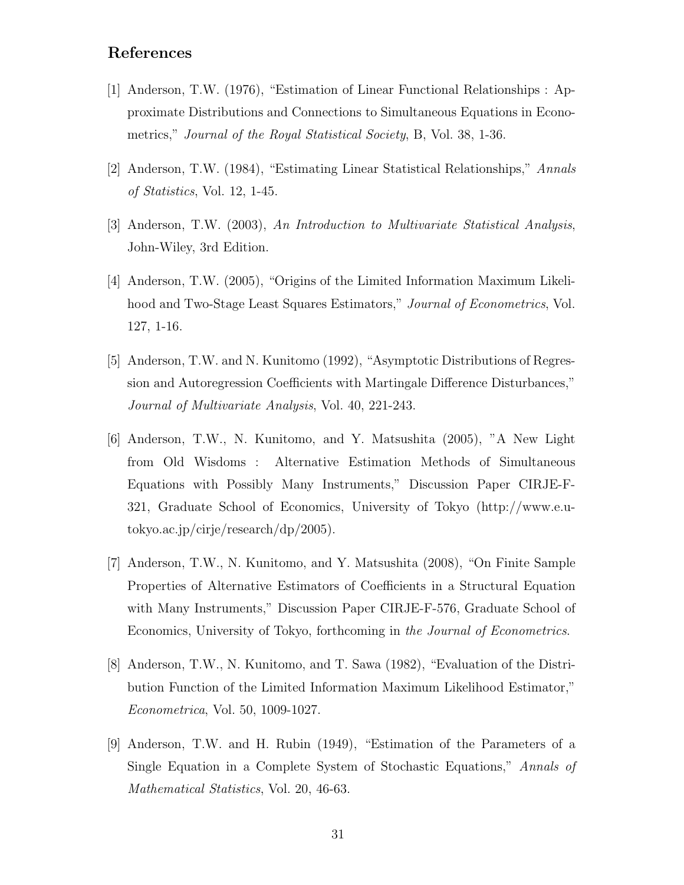## **References**

- [1] Anderson, T.W. (1976), "Estimation of Linear Functional Relationships : Approximate Distributions and Connections to Simultaneous Equations in Econometrics," *Journal of the Royal Statistical Society*, B, Vol. 38, 1-36.
- [2] Anderson, T.W. (1984), "Estimating Linear Statistical Relationships," *Annals of Statistics*, Vol. 12, 1-45.
- [3] Anderson, T.W. (2003), *An Introduction to Multivariate Statistical Analysis*, John-Wiley, 3rd Edition.
- [4] Anderson, T.W. (2005), "Origins of the Limited Information Maximum Likelihood and Two-Stage Least Squares Estimators," *Journal of Econometrics*, Vol. 127, 1-16.
- [5] Anderson, T.W. and N. Kunitomo (1992), "Asymptotic Distributions of Regression and Autoregression Coefficients with Martingale Difference Disturbances," *Journal of Multivariate Analysis*, Vol. 40, 221-243.
- [6] Anderson, T.W., N. Kunitomo, and Y. Matsushita (2005), "A New Light from Old Wisdoms : Alternative Estimation Methods of Simultaneous Equations with Possibly Many Instruments," Discussion Paper CIRJE-F-321, Graduate School of Economics, University of Tokyo (http://www.e.utokyo.ac.jp/cirje/research/dp/2005).
- [7] Anderson, T.W., N. Kunitomo, and Y. Matsushita (2008), "On Finite Sample Properties of Alternative Estimators of Coefficients in a Structural Equation with Many Instruments," Discussion Paper CIRJE-F-576, Graduate School of Economics, University of Tokyo, forthcoming in *the Journal of Econometrics*.
- [8] Anderson, T.W., N. Kunitomo, and T. Sawa (1982), "Evaluation of the Distribution Function of the Limited Information Maximum Likelihood Estimator," *Econometrica*, Vol. 50, 1009-1027.
- [9] Anderson, T.W. and H. Rubin (1949), "Estimation of the Parameters of a Single Equation in a Complete System of Stochastic Equations," *Annals of Mathematical Statistics*, Vol. 20, 46-63.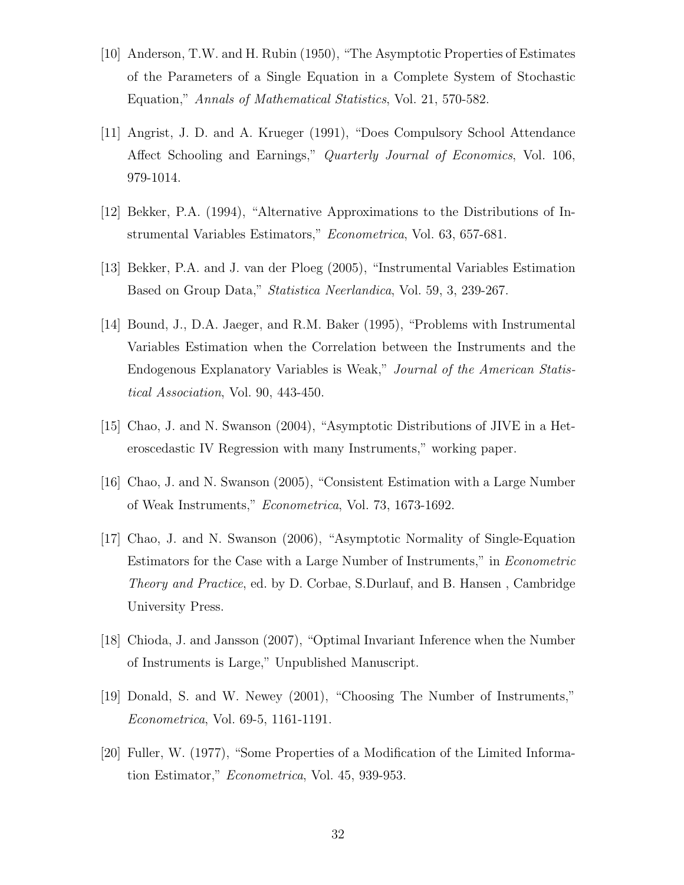- [10] Anderson, T.W. and H. Rubin (1950), "The Asymptotic Properties of Estimates of the Parameters of a Single Equation in a Complete System of Stochastic Equation," *Annals of Mathematical Statistics*, Vol. 21, 570-582.
- [11] Angrist, J. D. and A. Krueger (1991), "Does Compulsory School Attendance Affect Schooling and Earnings," *Quarterly Journal of Economics*, Vol. 106, 979-1014.
- [12] Bekker, P.A. (1994), "Alternative Approximations to the Distributions of Instrumental Variables Estimators," *Econometrica*, Vol. 63, 657-681.
- [13] Bekker, P.A. and J. van der Ploeg (2005), "Instrumental Variables Estimation Based on Group Data," *Statistica Neerlandica*, Vol. 59, 3, 239-267.
- [14] Bound, J., D.A. Jaeger, and R.M. Baker (1995), "Problems with Instrumental Variables Estimation when the Correlation between the Instruments and the Endogenous Explanatory Variables is Weak," *Journal of the American Statistical Association*, Vol. 90, 443-450.
- [15] Chao, J. and N. Swanson (2004), "Asymptotic Distributions of JIVE in a Heteroscedastic IV Regression with many Instruments," working paper.
- [16] Chao, J. and N. Swanson (2005), "Consistent Estimation with a Large Number of Weak Instruments," *Econometrica*, Vol. 73, 1673-1692.
- [17] Chao, J. and N. Swanson (2006), "Asymptotic Normality of Single-Equation Estimators for the Case with a Large Number of Instruments," in *Econometric Theory and Practice*, ed. by D. Corbae, S.Durlauf, and B. Hansen , Cambridge University Press.
- [18] Chioda, J. and Jansson (2007), "Optimal Invariant Inference when the Number of Instruments is Large," Unpublished Manuscript.
- [19] Donald, S. and W. Newey (2001), "Choosing The Number of Instruments," *Econometrica*, Vol. 69-5, 1161-1191.
- [20] Fuller, W. (1977), "Some Properties of a Modification of the Limited Information Estimator," *Econometrica*, Vol. 45, 939-953.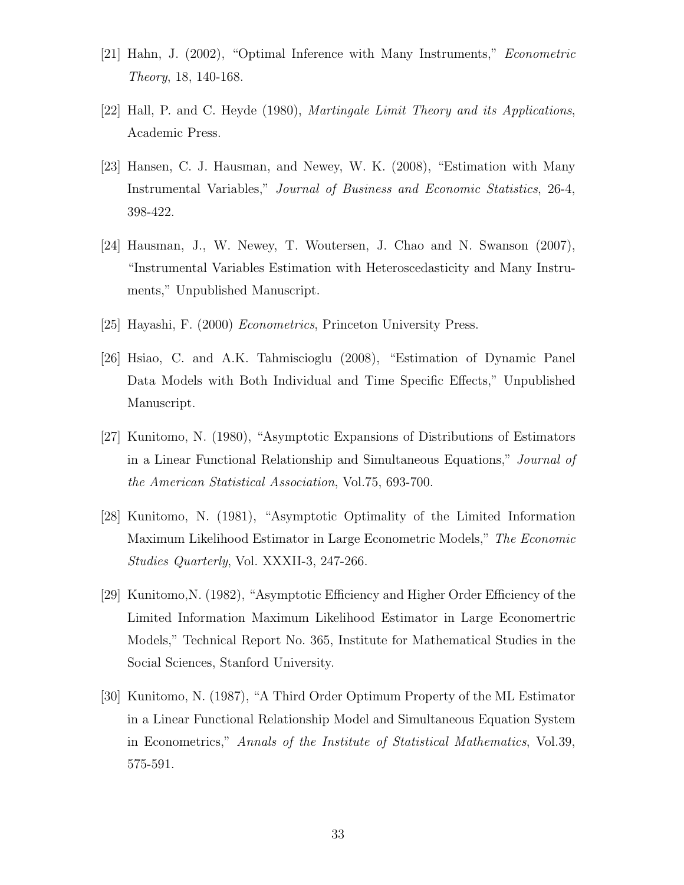- [21] Hahn, J. (2002), "Optimal Inference with Many Instruments," *Econometric Theory*, 18, 140-168.
- [22] Hall, P. and C. Heyde (1980), *Martingale Limit Theory and its Applications*, Academic Press.
- [23] Hansen, C. J. Hausman, and Newey, W. K. (2008), "Estimation with Many Instrumental Variables," *Journal of Business and Economic Statistics*, 26-4, 398-422.
- [24] Hausman, J., W. Newey, T. Woutersen, J. Chao and N. Swanson (2007), "Instrumental Variables Estimation with Heteroscedasticity and Many Instruments," Unpublished Manuscript.
- [25] Hayashi, F. (2000) *Econometrics*, Princeton University Press.
- [26] Hsiao, C. and A.K. Tahmiscioglu (2008), "Estimation of Dynamic Panel Data Models with Both Individual and Time Specific Effects," Unpublished Manuscript.
- [27] Kunitomo, N. (1980), "Asymptotic Expansions of Distributions of Estimators in a Linear Functional Relationship and Simultaneous Equations," *Journal of the American Statistical Association*, Vol.75, 693-700.
- [28] Kunitomo, N. (1981), "Asymptotic Optimality of the Limited Information Maximum Likelihood Estimator in Large Econometric Models," *The Economic Studies Quarterly*, Vol. XXXII-3, 247-266.
- [29] Kunitomo,N. (1982), "Asymptotic Efficiency and Higher Order Efficiency of the Limited Information Maximum Likelihood Estimator in Large Economertric Models," Technical Report No. 365, Institute for Mathematical Studies in the Social Sciences, Stanford University.
- [30] Kunitomo, N. (1987), "A Third Order Optimum Property of the ML Estimator in a Linear Functional Relationship Model and Simultaneous Equation System in Econometrics," *Annals of the Institute of Statistical Mathematics*, Vol.39, 575-591.